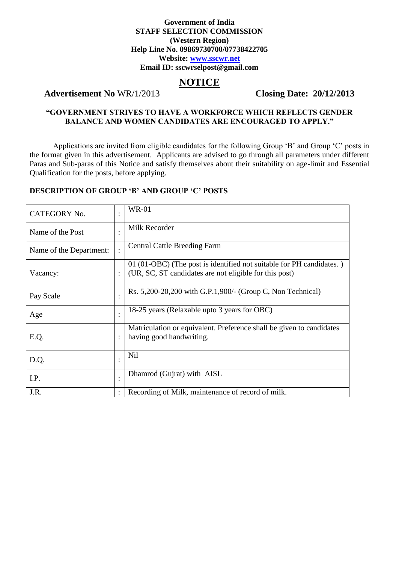#### **Government of India STAFF SELECTION COMMISSION (Western Region) Help Line No. 09869730700/07738422705 Website: [www.sscwr.net](http://www.sscwr.net/) Email ID: sscwrselpost@gmail.com**

# **NOTICE**

# **Advertisement No** WR/1/2013 **Closing Date: 20/12/2013**

# **"GOVERNMENT STRIVES TO HAVE A WORKFORCE WHICH REFLECTS GENDER BALANCE AND WOMEN CANDIDATES ARE ENCOURAGED TO APPLY."**

Applications are invited from eligible candidates for the following Group 'B' and Group 'C' posts in the format given in this advertisement. Applicants are advised to go through all parameters under different Paras and Sub-paras of this Notice and satisfy themselves about their suitability on age-limit and Essential Qualification for the posts, before applying.

#### **DESCRIPTION OF GROUP 'B' AND GROUP 'C' POSTS**

| <b>CATEGORY No.</b>     |                      | <b>WR-01</b>                                                                                                                   |
|-------------------------|----------------------|--------------------------------------------------------------------------------------------------------------------------------|
| Name of the Post        | $\cdot$              | Milk Recorder                                                                                                                  |
| Name of the Department: |                      | <b>Central Cattle Breeding Farm</b>                                                                                            |
| Vacancy:                | $\ddot{\cdot}$       | 01 (01-OBC) (The post is identified not suitable for PH candidates.)<br>(UR, SC, ST candidates are not eligible for this post) |
| Pay Scale               |                      | Rs. 5,200-20,200 with G.P.1,900/- (Group C, Non Technical)                                                                     |
| Age                     | $\bullet$            | 18-25 years (Relaxable upto 3 years for OBC)                                                                                   |
| E.Q.                    | $\ddot{\phantom{a}}$ | Matriculation or equivalent. Preference shall be given to candidates<br>having good handwriting.                               |
| D.Q.                    | $\bullet$            | <b>Nil</b>                                                                                                                     |
| I.P.                    | $\bullet$            | Dhamrod (Gujrat) with AISL                                                                                                     |
| J.R.                    | $\ddot{\phantom{0}}$ | Recording of Milk, maintenance of record of milk.                                                                              |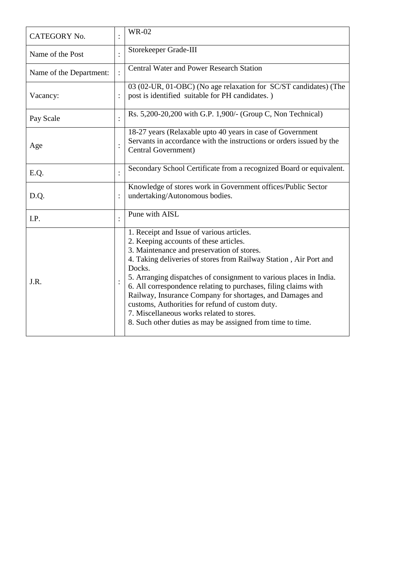| CATEGORY No.            | <b>WR-02</b>                                                                                                                                                                                                                                                                                                                                                                                                                                                                                                                                                                         |
|-------------------------|--------------------------------------------------------------------------------------------------------------------------------------------------------------------------------------------------------------------------------------------------------------------------------------------------------------------------------------------------------------------------------------------------------------------------------------------------------------------------------------------------------------------------------------------------------------------------------------|
| Name of the Post        | Storekeeper Grade-III                                                                                                                                                                                                                                                                                                                                                                                                                                                                                                                                                                |
| Name of the Department: | <b>Central Water and Power Research Station</b>                                                                                                                                                                                                                                                                                                                                                                                                                                                                                                                                      |
| Vacancy:                | 03 (02-UR, 01-OBC) (No age relaxation for SC/ST candidates) (The<br>post is identified suitable for PH candidates.)                                                                                                                                                                                                                                                                                                                                                                                                                                                                  |
| Pay Scale               | Rs. 5,200-20,200 with G.P. 1,900/- (Group C, Non Technical)                                                                                                                                                                                                                                                                                                                                                                                                                                                                                                                          |
| Age                     | 18-27 years (Relaxable upto 40 years in case of Government<br>Servants in accordance with the instructions or orders issued by the<br>Central Government)                                                                                                                                                                                                                                                                                                                                                                                                                            |
| E.Q.                    | Secondary School Certificate from a recognized Board or equivalent.                                                                                                                                                                                                                                                                                                                                                                                                                                                                                                                  |
| D.Q.                    | Knowledge of stores work in Government offices/Public Sector<br>undertaking/Autonomous bodies.                                                                                                                                                                                                                                                                                                                                                                                                                                                                                       |
| I.P.                    | Pune with AISL                                                                                                                                                                                                                                                                                                                                                                                                                                                                                                                                                                       |
| J.R.                    | 1. Receipt and Issue of various articles.<br>2. Keeping accounts of these articles.<br>3. Maintenance and preservation of stores.<br>4. Taking deliveries of stores from Railway Station, Air Port and<br>Docks.<br>5. Arranging dispatches of consignment to various places in India.<br>6. All correspondence relating to purchases, filing claims with<br>Railway, Insurance Company for shortages, and Damages and<br>customs, Authorities for refund of custom duty.<br>7. Miscellaneous works related to stores.<br>8. Such other duties as may be assigned from time to time. |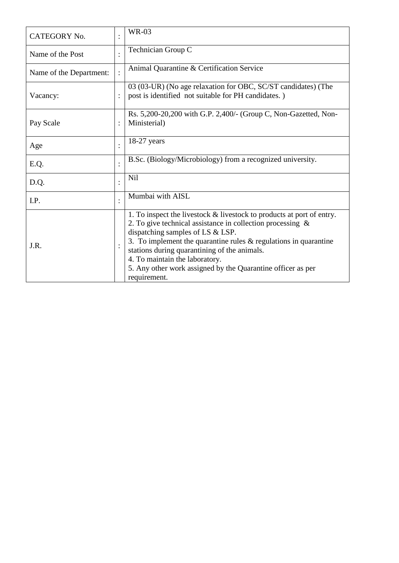| <b>CATEGORY No.</b>     | <b>WR-03</b>                                                                                                                                                                                                                                                                                                                                                                                                          |
|-------------------------|-----------------------------------------------------------------------------------------------------------------------------------------------------------------------------------------------------------------------------------------------------------------------------------------------------------------------------------------------------------------------------------------------------------------------|
| Name of the Post        | Technician Group C                                                                                                                                                                                                                                                                                                                                                                                                    |
| Name of the Department: | Animal Quarantine & Certification Service                                                                                                                                                                                                                                                                                                                                                                             |
| Vacancy:                | 03 (03-UR) (No age relaxation for OBC, SC/ST candidates) (The<br>post is identified not suitable for PH candidates.)                                                                                                                                                                                                                                                                                                  |
| Pay Scale               | Rs. 5,200-20,200 with G.P. 2,400/- (Group C, Non-Gazetted, Non-<br>Ministerial)                                                                                                                                                                                                                                                                                                                                       |
| Age                     | $18-27$ years                                                                                                                                                                                                                                                                                                                                                                                                         |
| E.Q.                    | B.Sc. (Biology/Microbiology) from a recognized university.                                                                                                                                                                                                                                                                                                                                                            |
| D.Q.                    | <b>Nil</b>                                                                                                                                                                                                                                                                                                                                                                                                            |
| I.P.                    | Mumbai with AISL                                                                                                                                                                                                                                                                                                                                                                                                      |
| J.R.                    | 1. To inspect the livestock $\&$ livestock to products at port of entry.<br>2. To give technical assistance in collection processing $\&$<br>dispatching samples of LS & LSP.<br>3. To implement the quarantine rules $\&$ regulations in quarantine<br>stations during quarantining of the animals.<br>4. To maintain the laboratory.<br>5. Any other work assigned by the Quarantine officer as per<br>requirement. |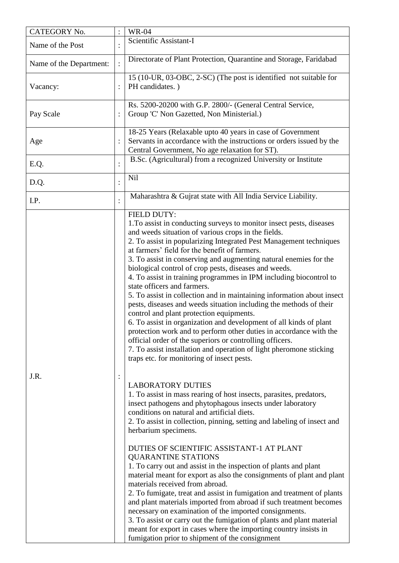| CATEGORY No.            |                | <b>WR-04</b>                                                                                                                                                                                                                                                                                                                                                                                                                                                                                                                                                                                                                                                                                                                                                                                                                                                                                                                                                                                                                                                                                                                                                                                                                                                                                                                                                                                                                                                                                                                                                                                                                                                                                                                                                                                                                                                                                                                                                                                                                 |
|-------------------------|----------------|------------------------------------------------------------------------------------------------------------------------------------------------------------------------------------------------------------------------------------------------------------------------------------------------------------------------------------------------------------------------------------------------------------------------------------------------------------------------------------------------------------------------------------------------------------------------------------------------------------------------------------------------------------------------------------------------------------------------------------------------------------------------------------------------------------------------------------------------------------------------------------------------------------------------------------------------------------------------------------------------------------------------------------------------------------------------------------------------------------------------------------------------------------------------------------------------------------------------------------------------------------------------------------------------------------------------------------------------------------------------------------------------------------------------------------------------------------------------------------------------------------------------------------------------------------------------------------------------------------------------------------------------------------------------------------------------------------------------------------------------------------------------------------------------------------------------------------------------------------------------------------------------------------------------------------------------------------------------------------------------------------------------------|
| Name of the Post        |                | Scientific Assistant-I                                                                                                                                                                                                                                                                                                                                                                                                                                                                                                                                                                                                                                                                                                                                                                                                                                                                                                                                                                                                                                                                                                                                                                                                                                                                                                                                                                                                                                                                                                                                                                                                                                                                                                                                                                                                                                                                                                                                                                                                       |
| Name of the Department: |                | Directorate of Plant Protection, Quarantine and Storage, Faridabad                                                                                                                                                                                                                                                                                                                                                                                                                                                                                                                                                                                                                                                                                                                                                                                                                                                                                                                                                                                                                                                                                                                                                                                                                                                                                                                                                                                                                                                                                                                                                                                                                                                                                                                                                                                                                                                                                                                                                           |
| Vacancy:                |                | 15 (10-UR, 03-OBC, 2-SC) (The post is identified not suitable for<br>PH candidates.)                                                                                                                                                                                                                                                                                                                                                                                                                                                                                                                                                                                                                                                                                                                                                                                                                                                                                                                                                                                                                                                                                                                                                                                                                                                                                                                                                                                                                                                                                                                                                                                                                                                                                                                                                                                                                                                                                                                                         |
| Pay Scale               |                | Rs. 5200-20200 with G.P. 2800/- (General Central Service,<br>Group 'C' Non Gazetted, Non Ministerial.)                                                                                                                                                                                                                                                                                                                                                                                                                                                                                                                                                                                                                                                                                                                                                                                                                                                                                                                                                                                                                                                                                                                                                                                                                                                                                                                                                                                                                                                                                                                                                                                                                                                                                                                                                                                                                                                                                                                       |
| Age                     |                | 18-25 Years (Relaxable upto 40 years in case of Government<br>Servants in accordance with the instructions or orders issued by the<br>Central Government, No age relaxation for ST).                                                                                                                                                                                                                                                                                                                                                                                                                                                                                                                                                                                                                                                                                                                                                                                                                                                                                                                                                                                                                                                                                                                                                                                                                                                                                                                                                                                                                                                                                                                                                                                                                                                                                                                                                                                                                                         |
| E.Q.                    |                | B.Sc. (Agricultural) from a recognized University or Institute                                                                                                                                                                                                                                                                                                                                                                                                                                                                                                                                                                                                                                                                                                                                                                                                                                                                                                                                                                                                                                                                                                                                                                                                                                                                                                                                                                                                                                                                                                                                                                                                                                                                                                                                                                                                                                                                                                                                                               |
| D.Q.                    | $\ddot{\cdot}$ | <b>Nil</b>                                                                                                                                                                                                                                                                                                                                                                                                                                                                                                                                                                                                                                                                                                                                                                                                                                                                                                                                                                                                                                                                                                                                                                                                                                                                                                                                                                                                                                                                                                                                                                                                                                                                                                                                                                                                                                                                                                                                                                                                                   |
| I.P.                    |                | Maharashtra & Gujrat state with All India Service Liability.                                                                                                                                                                                                                                                                                                                                                                                                                                                                                                                                                                                                                                                                                                                                                                                                                                                                                                                                                                                                                                                                                                                                                                                                                                                                                                                                                                                                                                                                                                                                                                                                                                                                                                                                                                                                                                                                                                                                                                 |
| J.R.                    | $\ddot{\cdot}$ | <b>FIELD DUTY:</b><br>1. To assist in conducting surveys to monitor insect pests, diseases<br>and weeds situation of various crops in the fields.<br>2. To assist in popularizing Integrated Pest Management techniques<br>at farmers' field for the benefit of farmers.<br>3. To assist in conserving and augmenting natural enemies for the<br>biological control of crop pests, diseases and weeds.<br>4. To assist in training programmes in IPM including biocontrol to<br>state officers and farmers.<br>5. To assist in collection and in maintaining information about insect<br>pests, diseases and weeds situation including the methods of their<br>control and plant protection equipments.<br>6. To assist in organization and development of all kinds of plant<br>protection work and to perform other duties in accordance with the<br>official order of the superiors or controlling officers.<br>7. To assist installation and operation of light pheromone sticking<br>traps etc. for monitoring of insect pests.<br><b>LABORATORY DUTIES</b><br>1. To assist in mass rearing of host insects, parasites, predators,<br>insect pathogens and phytophagous insects under laboratory<br>conditions on natural and artificial diets.<br>2. To assist in collection, pinning, setting and labeling of insect and<br>herbarium specimens.<br>DUTIES OF SCIENTIFIC ASSISTANT-1 AT PLANT<br><b>QUARANTINE STATIONS</b><br>1. To carry out and assist in the inspection of plants and plant<br>material meant for export as also the consignments of plant and plant<br>materials received from abroad.<br>2. To fumigate, treat and assist in fumigation and treatment of plants<br>and plant materials imported from abroad if such treatment becomes<br>necessary on examination of the imported consignments.<br>3. To assist or carry out the fumigation of plants and plant material<br>meant for export in cases where the importing country insists in<br>fumigation prior to shipment of the consignment |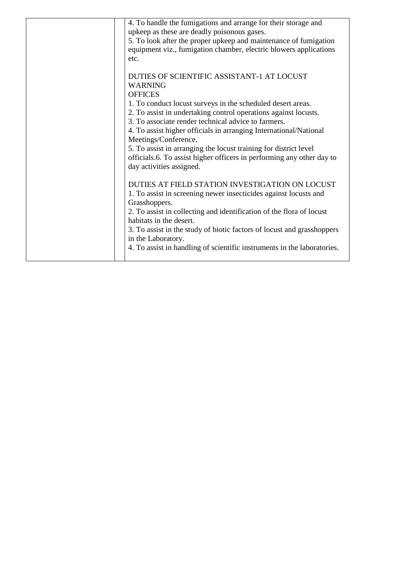| 4. To handle the fumigations and arrange for their storage and          |
|-------------------------------------------------------------------------|
| upkeep as these are deadly poisonous gases.                             |
| 5. To look after the proper upkeep and maintenance of fumigation        |
| equipment viz., fumigation chamber, electric blowers applications       |
| etc.                                                                    |
|                                                                         |
| DUTIES OF SCIENTIFIC ASSISTANT-1 AT LOCUST                              |
| <b>WARNING</b>                                                          |
| <b>OFFICES</b>                                                          |
| 1. To conduct locust surveys in the scheduled desert areas.             |
| 2. To assist in undertaking control operations against locusts.         |
| 3. To associate render technical advice to farmers.                     |
| 4. To assist higher officials in arranging International/National       |
| Meetings/Conference.                                                    |
| 5. To assist in arranging the locust training for district level        |
| officials.6. To assist higher officers in performing any other day to   |
| day activities assigned.                                                |
|                                                                         |
| DUTIES AT FIELD STATION INVESTIGATION ON LOCUST                         |
| 1. To assist in screening newer insecticides against locusts and        |
| Grasshoppers.                                                           |
| 2. To assist in collecting and identification of the flora of locust    |
| habitats in the desert.                                                 |
| 3. To assist in the study of biotic factors of locust and grasshoppers  |
| in the Laboratory.                                                      |
|                                                                         |
| 4. To assist in handling of scientific instruments in the laboratories. |
|                                                                         |
|                                                                         |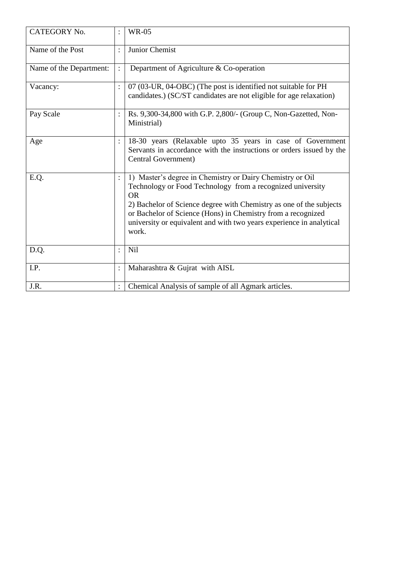| <b>CATEGORY No.</b>     |                | <b>WR-05</b>                                                                                                                                                                                                                                                                                                                                                 |
|-------------------------|----------------|--------------------------------------------------------------------------------------------------------------------------------------------------------------------------------------------------------------------------------------------------------------------------------------------------------------------------------------------------------------|
| Name of the Post        |                | Junior Chemist                                                                                                                                                                                                                                                                                                                                               |
| Name of the Department: |                | Department of Agriculture & Co-operation                                                                                                                                                                                                                                                                                                                     |
| Vacancy:                | $\ddot{\cdot}$ | 07 (03-UR, 04-OBC) (The post is identified not suitable for PH<br>candidates.) (SC/ST candidates are not eligible for age relaxation)                                                                                                                                                                                                                        |
| Pay Scale               |                | Rs. 9,300-34,800 with G.P. 2,800/- (Group C, Non-Gazetted, Non-<br>Ministrial)                                                                                                                                                                                                                                                                               |
| Age                     |                | 18-30 years (Relaxable upto 35 years in case of Government<br>Servants in accordance with the instructions or orders issued by the<br>Central Government)                                                                                                                                                                                                    |
| E.Q.                    |                | 1) Master's degree in Chemistry or Dairy Chemistry or Oil<br>Technology or Food Technology from a recognized university<br><b>OR</b><br>2) Bachelor of Science degree with Chemistry as one of the subjects<br>or Bachelor of Science (Hons) in Chemistry from a recognized<br>university or equivalent and with two years experience in analytical<br>work. |
| D.Q.                    |                | Nil                                                                                                                                                                                                                                                                                                                                                          |
| I.P.                    |                | Maharashtra & Gujrat with AISL                                                                                                                                                                                                                                                                                                                               |
| J.R.                    |                | Chemical Analysis of sample of all Agmark articles.                                                                                                                                                                                                                                                                                                          |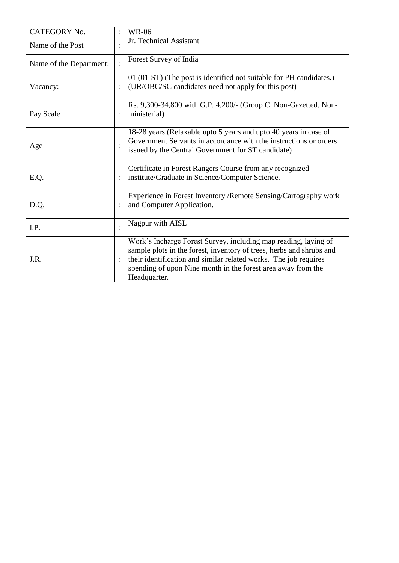| CATEGORY No.            | <b>WR-06</b>                                                                                                                                                                                                                                                                                |
|-------------------------|---------------------------------------------------------------------------------------------------------------------------------------------------------------------------------------------------------------------------------------------------------------------------------------------|
| Name of the Post        | Jr. Technical Assistant                                                                                                                                                                                                                                                                     |
| Name of the Department: | Forest Survey of India                                                                                                                                                                                                                                                                      |
| Vacancy:                | 01 (01-ST) (The post is identified not suitable for PH candidates.)<br>(UR/OBC/SC candidates need not apply for this post)                                                                                                                                                                  |
| Pay Scale               | Rs. 9,300-34,800 with G.P. 4,200/- (Group C, Non-Gazetted, Non-<br>ministerial)                                                                                                                                                                                                             |
| Age                     | 18-28 years (Relaxable upto 5 years and upto 40 years in case of<br>Government Servants in accordance with the instructions or orders<br>issued by the Central Government for ST candidate)                                                                                                 |
| E.Q.                    | Certificate in Forest Rangers Course from any recognized<br>institute/Graduate in Science/Computer Science.                                                                                                                                                                                 |
| D.Q.                    | Experience in Forest Inventory / Remote Sensing/Cartography work<br>and Computer Application.                                                                                                                                                                                               |
| I.P.                    | Nagpur with AISL                                                                                                                                                                                                                                                                            |
| J.R.                    | Work's Incharge Forest Survey, including map reading, laying of<br>sample plots in the forest, inventory of trees, herbs and shrubs and<br>their identification and similar related works. The job requires<br>spending of upon Nine month in the forest area away from the<br>Headquarter. |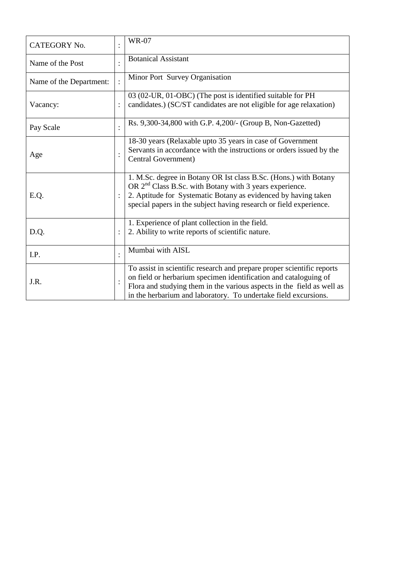| <b>CATEGORY No.</b>     | <b>WR-07</b>                                                                                                                                                                                                                                                                            |
|-------------------------|-----------------------------------------------------------------------------------------------------------------------------------------------------------------------------------------------------------------------------------------------------------------------------------------|
| Name of the Post        | <b>Botanical Assistant</b>                                                                                                                                                                                                                                                              |
| Name of the Department: | Minor Port Survey Organisation                                                                                                                                                                                                                                                          |
| Vacancy:                | 03 (02-UR, 01-OBC) (The post is identified suitable for PH<br>candidates.) (SC/ST candidates are not eligible for age relaxation)                                                                                                                                                       |
| Pay Scale               | Rs. 9,300-34,800 with G.P. 4,200/- (Group B, Non-Gazetted)                                                                                                                                                                                                                              |
| Age                     | 18-30 years (Relaxable upto 35 years in case of Government<br>Servants in accordance with the instructions or orders issued by the<br>Central Government)                                                                                                                               |
| E.Q.                    | 1. M.Sc. degree in Botany OR Ist class B.Sc. (Hons.) with Botany<br>OR $2nd$ Class B.Sc. with Botany with 3 years experience.<br>2. Aptitude for Systematic Botany as evidenced by having taken<br>special papers in the subject having research or field experience.                   |
| D.Q.                    | 1. Experience of plant collection in the field.<br>2. Ability to write reports of scientific nature.                                                                                                                                                                                    |
| I.P.                    | Mumbai with AISL                                                                                                                                                                                                                                                                        |
| J.R.                    | To assist in scientific research and prepare proper scientific reports<br>on field or herbarium specimen identification and cataloguing of<br>Flora and studying them in the various aspects in the field as well as<br>in the herbarium and laboratory. To undertake field excursions. |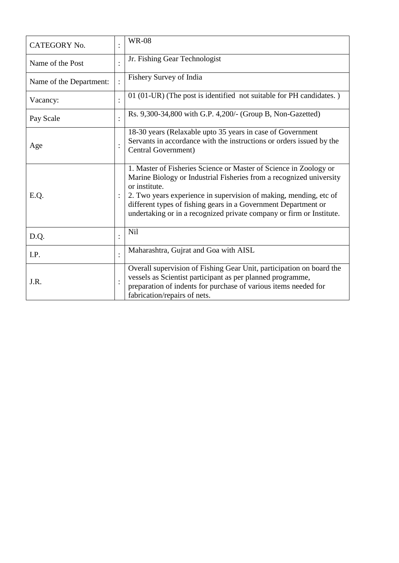| <b>CATEGORY No.</b>     |                | <b>WR-08</b>                                                                                                                                                                                                                                                                                                                                                             |
|-------------------------|----------------|--------------------------------------------------------------------------------------------------------------------------------------------------------------------------------------------------------------------------------------------------------------------------------------------------------------------------------------------------------------------------|
| Name of the Post        |                | Jr. Fishing Gear Technologist                                                                                                                                                                                                                                                                                                                                            |
| Name of the Department: |                | Fishery Survey of India                                                                                                                                                                                                                                                                                                                                                  |
| Vacancy:                |                | 01 (01-UR) (The post is identified not suitable for PH candidates.)                                                                                                                                                                                                                                                                                                      |
| Pay Scale               |                | Rs. 9,300-34,800 with G.P. 4,200/- (Group B, Non-Gazetted)                                                                                                                                                                                                                                                                                                               |
| Age                     |                | 18-30 years (Relaxable upto 35 years in case of Government<br>Servants in accordance with the instructions or orders issued by the<br>Central Government)                                                                                                                                                                                                                |
| E.Q.                    |                | 1. Master of Fisheries Science or Master of Science in Zoology or<br>Marine Biology or Industrial Fisheries from a recognized university<br>or institute.<br>2. Two years experience in supervision of making, mending, etc of<br>different types of fishing gears in a Government Department or<br>undertaking or in a recognized private company or firm or Institute. |
| D.Q.                    |                | <b>Nil</b>                                                                                                                                                                                                                                                                                                                                                               |
| I.P.                    | $\bullet$      | Maharashtra, Gujrat and Goa with AISL                                                                                                                                                                                                                                                                                                                                    |
| J.R.                    | $\ddot{\cdot}$ | Overall supervision of Fishing Gear Unit, participation on board the<br>vessels as Scientist participant as per planned programme,<br>preparation of indents for purchase of various items needed for<br>fabrication/repairs of nets.                                                                                                                                    |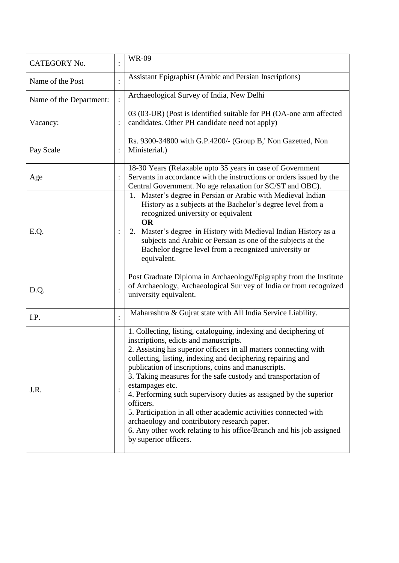| <b>CATEGORY No.</b>     |                | <b>WR-09</b>                                                                                                                                                                                                                                                                                                                                                                                                                                                                                                                                                                                                                                                                                    |
|-------------------------|----------------|-------------------------------------------------------------------------------------------------------------------------------------------------------------------------------------------------------------------------------------------------------------------------------------------------------------------------------------------------------------------------------------------------------------------------------------------------------------------------------------------------------------------------------------------------------------------------------------------------------------------------------------------------------------------------------------------------|
| Name of the Post        |                | Assistant Epigraphist (Arabic and Persian Inscriptions)                                                                                                                                                                                                                                                                                                                                                                                                                                                                                                                                                                                                                                         |
| Name of the Department: |                | Archaeological Survey of India, New Delhi                                                                                                                                                                                                                                                                                                                                                                                                                                                                                                                                                                                                                                                       |
| Vacancy:                |                | 03 (03-UR) (Post is identified suitable for PH (OA-one arm affected<br>candidates. Other PH candidate need not apply)                                                                                                                                                                                                                                                                                                                                                                                                                                                                                                                                                                           |
| Pay Scale               |                | Rs. 9300-34800 with G.P.4200/- (Group B,' Non Gazetted, Non<br>Ministerial.)                                                                                                                                                                                                                                                                                                                                                                                                                                                                                                                                                                                                                    |
| Age                     |                | 18-30 Years (Relaxable upto 35 years in case of Government<br>Servants in accordance with the instructions or orders issued by the<br>Central Government. No age relaxation for SC/ST and OBC).                                                                                                                                                                                                                                                                                                                                                                                                                                                                                                 |
| E.Q.                    |                | 1. Master's degree in Persian or Arabic with Medieval Indian<br>History as a subjects at the Bachelor's degree level from a<br>recognized university or equivalent<br><b>OR</b><br>2. Master's degree in History with Medieval Indian History as a<br>subjects and Arabic or Persian as one of the subjects at the<br>Bachelor degree level from a recognized university or<br>equivalent.                                                                                                                                                                                                                                                                                                      |
| D.Q.                    | $\vdots$       | Post Graduate Diploma in Archaeology/Epigraphy from the Institute<br>of Archaeology, Archaeological Sur vey of India or from recognized<br>university equivalent.                                                                                                                                                                                                                                                                                                                                                                                                                                                                                                                               |
| I.P.                    | $\ddot{\cdot}$ | Maharashtra & Gujrat state with All India Service Liability.                                                                                                                                                                                                                                                                                                                                                                                                                                                                                                                                                                                                                                    |
| J.R.                    |                | 1. Collecting, listing, cataloguing, indexing and deciphering of<br>inscriptions, edicts and manuscripts.<br>2. Assisting his superior officers in all matters connecting with<br>collecting, listing, indexing and deciphering repairing and<br>publication of inscriptions, coins and manuscripts.<br>3. Taking measures for the safe custody and transportation of<br>estampages etc.<br>4. Performing such supervisory duties as assigned by the superior<br>officers.<br>5. Participation in all other academic activities connected with<br>archaeology and contributory research paper.<br>6. Any other work relating to his office/Branch and his job assigned<br>by superior officers. |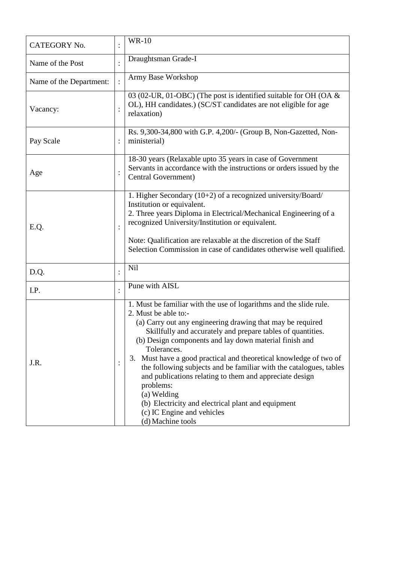| <b>CATEGORY No.</b>     |                | <b>WR-10</b>                                                                                                                                                                                                                                                                                                                                                                                                                                                                                                                                                                                                                                |
|-------------------------|----------------|---------------------------------------------------------------------------------------------------------------------------------------------------------------------------------------------------------------------------------------------------------------------------------------------------------------------------------------------------------------------------------------------------------------------------------------------------------------------------------------------------------------------------------------------------------------------------------------------------------------------------------------------|
| Name of the Post        |                | Draughtsman Grade-I                                                                                                                                                                                                                                                                                                                                                                                                                                                                                                                                                                                                                         |
| Name of the Department: |                | Army Base Workshop                                                                                                                                                                                                                                                                                                                                                                                                                                                                                                                                                                                                                          |
| Vacancy:                | $\vdots$       | 03 (02-UR, 01-OBC) (The post is identified suitable for OH (OA $\&$<br>OL), HH candidates.) (SC/ST candidates are not eligible for age<br>relaxation)                                                                                                                                                                                                                                                                                                                                                                                                                                                                                       |
| Pay Scale               |                | Rs. 9,300-34,800 with G.P. 4,200/- (Group B, Non-Gazetted, Non-<br>ministerial)                                                                                                                                                                                                                                                                                                                                                                                                                                                                                                                                                             |
| Age                     |                | 18-30 years (Relaxable upto 35 years in case of Government<br>Servants in accordance with the instructions or orders issued by the<br>Central Government)                                                                                                                                                                                                                                                                                                                                                                                                                                                                                   |
| E.Q.                    |                | 1. Higher Secondary (10+2) of a recognized university/Board/<br>Institution or equivalent.<br>2. Three years Diploma in Electrical/Mechanical Engineering of a<br>recognized University/Institution or equivalent.<br>Note: Qualification are relaxable at the discretion of the Staff<br>Selection Commission in case of candidates otherwise well qualified.                                                                                                                                                                                                                                                                              |
| D.Q.                    |                | Nil                                                                                                                                                                                                                                                                                                                                                                                                                                                                                                                                                                                                                                         |
| I.P.                    |                | Pune with AISL                                                                                                                                                                                                                                                                                                                                                                                                                                                                                                                                                                                                                              |
| J.R.                    | $\ddot{\cdot}$ | 1. Must be familiar with the use of logarithms and the slide rule.<br>2. Must be able to:-<br>(a) Carry out any engineering drawing that may be required<br>Skillfully and accurately and prepare tables of quantities.<br>(b) Design components and lay down material finish and<br>Tolerances.<br>3. Must have a good practical and theoretical knowledge of two of<br>the following subjects and be familiar with the catalogues, tables<br>and publications relating to them and appreciate design<br>problems:<br>(a) Welding<br>(b) Electricity and electrical plant and equipment<br>(c) IC Engine and vehicles<br>(d) Machine tools |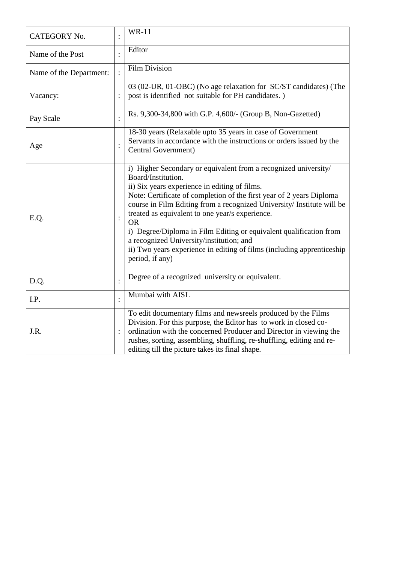| CATEGORY No.            | <b>WR-11</b>                                                                                                                                                                                                                                                                                                                                                                                                                                                                                                                                                            |
|-------------------------|-------------------------------------------------------------------------------------------------------------------------------------------------------------------------------------------------------------------------------------------------------------------------------------------------------------------------------------------------------------------------------------------------------------------------------------------------------------------------------------------------------------------------------------------------------------------------|
| Name of the Post        | Editor                                                                                                                                                                                                                                                                                                                                                                                                                                                                                                                                                                  |
| Name of the Department: | <b>Film Division</b>                                                                                                                                                                                                                                                                                                                                                                                                                                                                                                                                                    |
| Vacancy:                | 03 (02-UR, 01-OBC) (No age relaxation for SC/ST candidates) (The<br>post is identified not suitable for PH candidates.)                                                                                                                                                                                                                                                                                                                                                                                                                                                 |
| Pay Scale               | Rs. 9,300-34,800 with G.P. 4,600/- (Group B, Non-Gazetted)                                                                                                                                                                                                                                                                                                                                                                                                                                                                                                              |
| Age                     | 18-30 years (Relaxable upto 35 years in case of Government<br>Servants in accordance with the instructions or orders issued by the<br>Central Government)                                                                                                                                                                                                                                                                                                                                                                                                               |
| E.Q.                    | i) Higher Secondary or equivalent from a recognized university/<br>Board/Institution.<br>ii) Six years experience in editing of films.<br>Note: Certificate of completion of the first year of 2 years Diploma<br>course in Film Editing from a recognized University/ Institute will be<br>treated as equivalent to one year/s experience.<br><b>OR</b><br>i) Degree/Diploma in Film Editing or equivalent qualification from<br>a recognized University/institution; and<br>ii) Two years experience in editing of films (including apprenticeship<br>period, if any) |
| D.Q.                    | Degree of a recognized university or equivalent.                                                                                                                                                                                                                                                                                                                                                                                                                                                                                                                        |
| I.P.                    | Mumbai with AISL                                                                                                                                                                                                                                                                                                                                                                                                                                                                                                                                                        |
| J.R.                    | To edit documentary films and newsreels produced by the Films<br>Division. For this purpose, the Editor has to work in closed co-<br>ordination with the concerned Producer and Director in viewing the<br>rushes, sorting, assembling, shuffling, re-shuffling, editing and re-<br>editing till the picture takes its final shape.                                                                                                                                                                                                                                     |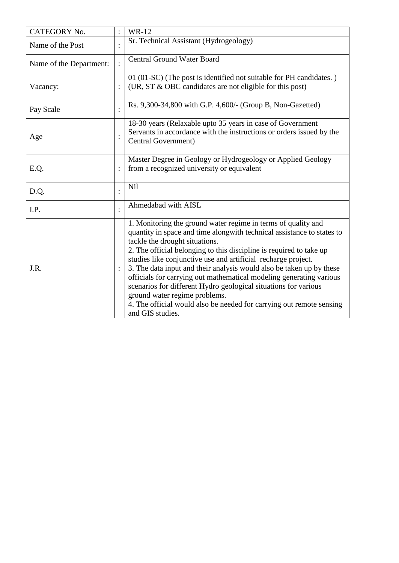| CATEGORY No.            | <b>WR-12</b>                                                                                                                                                                                                                                                                                                                                                                                                                                                                                                                                                                                                                                                     |
|-------------------------|------------------------------------------------------------------------------------------------------------------------------------------------------------------------------------------------------------------------------------------------------------------------------------------------------------------------------------------------------------------------------------------------------------------------------------------------------------------------------------------------------------------------------------------------------------------------------------------------------------------------------------------------------------------|
| Name of the Post        | Sr. Technical Assistant (Hydrogeology)                                                                                                                                                                                                                                                                                                                                                                                                                                                                                                                                                                                                                           |
| Name of the Department: | <b>Central Ground Water Board</b>                                                                                                                                                                                                                                                                                                                                                                                                                                                                                                                                                                                                                                |
| Vacancy:                | 01 (01-SC) (The post is identified not suitable for PH candidates.)<br>(UR, ST & OBC candidates are not eligible for this post)                                                                                                                                                                                                                                                                                                                                                                                                                                                                                                                                  |
| Pay Scale               | Rs. 9,300-34,800 with G.P. 4,600/- (Group B, Non-Gazetted)                                                                                                                                                                                                                                                                                                                                                                                                                                                                                                                                                                                                       |
| Age                     | 18-30 years (Relaxable upto 35 years in case of Government<br>Servants in accordance with the instructions or orders issued by the<br>Central Government)                                                                                                                                                                                                                                                                                                                                                                                                                                                                                                        |
| E.Q.                    | Master Degree in Geology or Hydrogeology or Applied Geology<br>from a recognized university or equivalent                                                                                                                                                                                                                                                                                                                                                                                                                                                                                                                                                        |
| D.Q.                    | Nil                                                                                                                                                                                                                                                                                                                                                                                                                                                                                                                                                                                                                                                              |
| I.P.                    | Ahmedabad with AISL                                                                                                                                                                                                                                                                                                                                                                                                                                                                                                                                                                                                                                              |
| J.R.                    | 1. Monitoring the ground water regime in terms of quality and<br>quantity in space and time alongwith technical assistance to states to<br>tackle the drought situations.<br>2. The official belonging to this discipline is required to take up<br>studies like conjunctive use and artificial recharge project.<br>3. The data input and their analysis would also be taken up by these<br>officials for carrying out mathematical modeling generating various<br>scenarios for different Hydro geological situations for various<br>ground water regime problems.<br>4. The official would also be needed for carrying out remote sensing<br>and GIS studies. |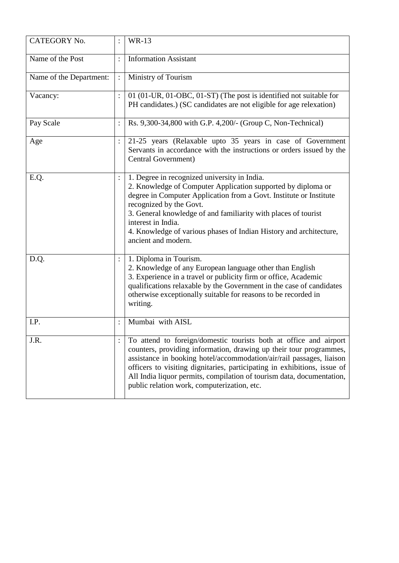| <b>CATEGORY No.</b>     |          | <b>WR-13</b>                                                                                                                                                                                                                                                                                                                                                                                                        |
|-------------------------|----------|---------------------------------------------------------------------------------------------------------------------------------------------------------------------------------------------------------------------------------------------------------------------------------------------------------------------------------------------------------------------------------------------------------------------|
| Name of the Post        |          | <b>Information Assistant</b>                                                                                                                                                                                                                                                                                                                                                                                        |
| Name of the Department: |          | Ministry of Tourism                                                                                                                                                                                                                                                                                                                                                                                                 |
| Vacancy:                |          | 01 (01-UR, 01-OBC, 01-ST) (The post is identified not suitable for<br>PH candidates.) (SC candidates are not eligible for age relexation)                                                                                                                                                                                                                                                                           |
| Pay Scale               |          | Rs. 9,300-34,800 with G.P. 4,200/- (Group C, Non-Technical)                                                                                                                                                                                                                                                                                                                                                         |
| Age                     | :        | 21-25 years (Relaxable upto 35 years in case of Government<br>Servants in accordance with the instructions or orders issued by the<br>Central Government)                                                                                                                                                                                                                                                           |
| E.Q.                    |          | 1. Degree in recognized university in India.<br>2. Knowledge of Computer Application supported by diploma or<br>degree in Computer Application from a Govt. Institute or Institute<br>recognized by the Govt.<br>3. General knowledge of and familiarity with places of tourist<br>interest in India.<br>4. Knowledge of various phases of Indian History and architecture,<br>ancient and modern.                  |
| D.Q.                    | $\colon$ | 1. Diploma in Tourism.<br>2. Knowledge of any European language other than English<br>3. Experience in a travel or publicity firm or office, Academic<br>qualifications relaxable by the Government in the case of candidates<br>otherwise exceptionally suitable for reasons to be recorded in<br>writing.                                                                                                         |
| I.P.                    |          | Mumbai with AISL                                                                                                                                                                                                                                                                                                                                                                                                    |
| J.R.                    |          | To attend to foreign/domestic tourists both at office and airport<br>counters, providing information, drawing up their tour programmes,<br>assistance in booking hotel/accommodation/air/rail passages, liaison<br>officers to visiting dignitaries, participating in exhibitions, issue of<br>All India liquor permits, compilation of tourism data, documentation,<br>public relation work, computerization, etc. |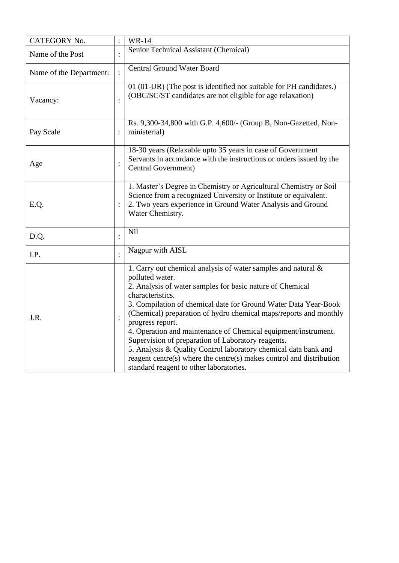| CATEGORY No.            |                | <b>WR-14</b>                                                                                                                                                                                                                                                                                                                                                                                                                                                                                                                                                                                                                                   |
|-------------------------|----------------|------------------------------------------------------------------------------------------------------------------------------------------------------------------------------------------------------------------------------------------------------------------------------------------------------------------------------------------------------------------------------------------------------------------------------------------------------------------------------------------------------------------------------------------------------------------------------------------------------------------------------------------------|
| Name of the Post        |                | Senior Technical Assistant (Chemical)                                                                                                                                                                                                                                                                                                                                                                                                                                                                                                                                                                                                          |
| Name of the Department: |                | <b>Central Ground Water Board</b>                                                                                                                                                                                                                                                                                                                                                                                                                                                                                                                                                                                                              |
| Vacancy:                |                | 01 (01-UR) (The post is identified not suitable for PH candidates.)<br>(OBC/SC/ST candidates are not eligible for age relaxation)                                                                                                                                                                                                                                                                                                                                                                                                                                                                                                              |
| Pay Scale               |                | Rs. 9,300-34,800 with G.P. 4,600/- (Group B, Non-Gazetted, Non-<br>ministerial)                                                                                                                                                                                                                                                                                                                                                                                                                                                                                                                                                                |
| Age                     |                | 18-30 years (Relaxable upto 35 years in case of Government<br>Servants in accordance with the instructions or orders issued by the<br>Central Government)                                                                                                                                                                                                                                                                                                                                                                                                                                                                                      |
| E.Q.                    |                | 1. Master's Degree in Chemistry or Agricultural Chemistry or Soil<br>Science from a recognized University or Institute or equivalent.<br>2. Two years experience in Ground Water Analysis and Ground<br>Water Chemistry.                                                                                                                                                                                                                                                                                                                                                                                                                       |
| D.Q.                    |                | <b>Nil</b>                                                                                                                                                                                                                                                                                                                                                                                                                                                                                                                                                                                                                                     |
| I.P.                    |                | Nagpur with AISL                                                                                                                                                                                                                                                                                                                                                                                                                                                                                                                                                                                                                               |
| J.R.                    | $\ddot{\cdot}$ | 1. Carry out chemical analysis of water samples and natural $\&$<br>polluted water.<br>2. Analysis of water samples for basic nature of Chemical<br>characteristics.<br>3. Compilation of chemical date for Ground Water Data Year-Book<br>(Chemical) preparation of hydro chemical maps/reports and monthly<br>progress report.<br>4. Operation and maintenance of Chemical equipment/instrument.<br>Supervision of preparation of Laboratory reagents.<br>5. Analysis & Quality Control laboratory chemical data bank and<br>reagent centre(s) where the centre(s) makes control and distribution<br>standard reagent to other laboratories. |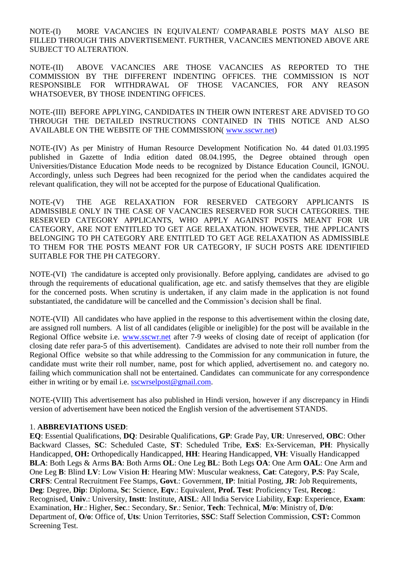NOTE-(I) MORE VACANCIES IN EQUIVALENT/ COMPARABLE POSTS MAY ALSO BE FILLED THROUGH THIS ADVERTISEMENT. FURTHER, VACANCIES MENTIONED ABOVE ARE SUBJECT TO ALTERATION.

NOTE-(II) ABOVE VACANCIES ARE THOSE VACANCIES AS REPORTED TO THE COMMISSION BY THE DIFFERENT INDENTING OFFICES. THE COMMISSION IS NOT RESPONSIBLE FOR WITHDRAWAL OF THOSE VACANCIES, FOR ANY REASON WHATSOEVER, BY THOSE INDENTING OFFICES.

NOTE-(III) BEFORE APPLYING, CANDIDATES IN THEIR OWN INTEREST ARE ADVISED TO GO THROUGH THE DETAILED INSTRUCTIONS CONTAINED IN THIS NOTICE AND ALSO AVAILABLE ON THE WEBSITE OF THE COMMISSION( [www.sscwr.net\)](http://www.sscwr.net/)

NOTE-(IV) As per Ministry of Human Resource Development Notification No. 44 dated 01.03.1995 published in Gazette of India edition dated 08.04.1995, the Degree obtained through open Universities/Distance Education Mode needs to be recognized by Distance Education Council, IGNOU. Accordingly, unless such Degrees had been recognized for the period when the candidates acquired the relevant qualification, they will not be accepted for the purpose of Educational Qualification.

NOTE-(V) THE AGE RELAXATION FOR RESERVED CATEGORY APPLICANTS IS ADMISSIBLE ONLY IN THE CASE OF VACANCIES RESERVED FOR SUCH CATEGORIES. THE RESERVED CATEGORY APPLICANTS, WHO APPLY AGAINST POSTS MEANT FOR UR CATEGORY, ARE NOT ENTITLED TO GET AGE RELAXATION. HOWEVER, THE APPLICANTS BELONGING TO PH CATEGORY ARE ENTITLED TO GET AGE RELAXATION AS ADMISSIBLE TO THEM FOR THE POSTS MEANT FOR UR CATEGORY, IF SUCH POSTS ARE IDENTIFIED SUITABLE FOR THE PH CATEGORY.

NOTE-(VI) The candidature is accepted only provisionally. Before applying, candidates are advised to go through the requirements of educational qualification, age etc. and satisfy themselves that they are eligible for the concerned posts. When scrutiny is undertaken, if any claim made in the application is not found substantiated, the candidature will be cancelled and the Commission's decision shall be final.

NOTE-(VII) All candidates who have applied in the response to this advertisement within the closing date, are assigned roll numbers. A list of all candidates (eligible or ineligible) for the post will be available in the Regional Office website i.e. [www.sscwr.net](http://www.sscwr.net/) after 7-9 weeks of closing date of receipt of application (for closing date refer para-5 of this advertisement). Candidates are advised to note their roll number from the Regional Office website so that while addressing to the Commission for any communication in future, the candidate must write their roll number, name, post for which applied, advertisement no. and category no. failing which communication shall not be entertained. Candidates can communicate for any correspondence either in writing or by email i.e. [sscwrselpost@gmail.com.](mailto:sscwrselpost@gmail.com)

NOTE-(VIII) This advertisement has also published in Hindi version, however if any discrepancy in Hindi version of advertisement have been noticed the English version of the advertisement STANDS.

#### 1. **ABBREVIATIONS USED**:

**EQ**: Essential Qualifications, **DQ**: Desirable Qualifications, **GP**: Grade Pay, **UR**: Unreserved, **OBC**: Other Backward Classes, **SC**: Scheduled Caste, **ST**: Scheduled Tribe, **ExS**: Ex-Serviceman, **PH**: Physically Handicapped, **OH:** Orthopedically Handicapped, **HH**: Hearing Handicapped, **VH**: Visually Handicapped **BLA**: Both Legs & Arms **BA**: Both Arms **OL**: One Leg **BL**: Both Legs **OA**: One Arm **OAL**: One Arm and One Leg **B**: Blind **LV**: Low Vision **H**: Hearing MW: Muscular weakness, **Cat**: Category, **P.S**: Pay Scale, **CRFS**: Central Recruitment Fee Stamps, **Govt**.: Government, **IP**: Initial Posting, **JR**: Job Requirements, **Deg**: Degree, **Dip**: Diploma, **Sc**: Science, **Eqv**.: Equivalent, **Prof. Test**: Proficiency Test, **Recog**.: Recognised, **Univ**.: University, **Instt**: Institute, **AISL**: All India Service Liability, **Exp**: Experience, **Exam**: Examination, **Hr**.: Higher, **Sec**.: Secondary, **Sr**.: Senior, **Tech**: Technical, **M/o**: Ministry of, **D/o**: Department of, **O/o**: Office of, **Uts**: Union Territories, **SSC**: Staff Selection Commission, **CST:** Common Screening Test.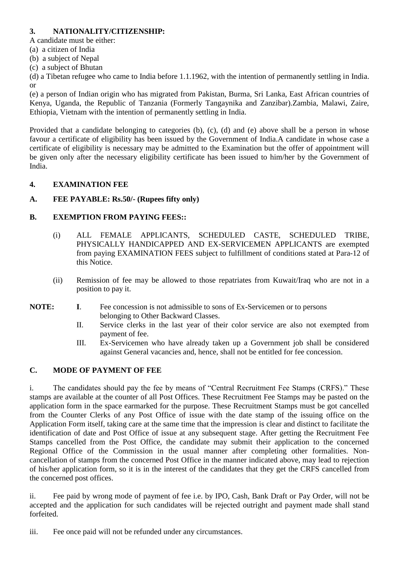# **3. NATIONALITY/CITIZENSHIP:**

A candidate must be either:

- (a) a citizen of India
- (b) a subject of Nepal
- (c) a subject of Bhutan

(d) a Tibetan refugee who came to India before 1.1.1962, with the intention of permanently settling in India. or

(e) a person of Indian origin who has migrated from Pakistan, Burma, Sri Lanka, East African countries of Kenya, Uganda, the Republic of Tanzania (Formerly Tangaynika and Zanzibar).Zambia, Malawi, Zaire, Ethiopia, Vietnam with the intention of permanently settling in India.

Provided that a candidate belonging to categories (b), (c), (d) and (e) above shall be a person in whose favour a certificate of eligibility has been issued by the Government of India.A candidate in whose case a certificate of eligibility is necessary may be admitted to the Examination but the offer of appointment will be given only after the necessary eligibility certificate has been issued to him/her by the Government of India.

# **4. EXAMINATION FEE**

# **A. FEE PAYABLE: Rs.50/- (Rupees fifty only)**

# **B. EXEMPTION FROM PAYING FEES::**

- (i) ALL FEMALE APPLICANTS, SCHEDULED CASTE, SCHEDULED TRIBE, PHYSICALLY HANDICAPPED AND EX-SERVICEMEN APPLICANTS are exempted from paying EXAMINATION FEES subject to fulfillment of conditions stated at Para-12 of this Notice.
- (ii) Remission of fee may be allowed to those repatriates from Kuwait/Iraq who are not in a position to pay it.
- **NOTE: I**. Fee concession is not admissible to sons of Ex-Servicemen or to persons belonging to Other Backward Classes.
	- II. Service clerks in the last year of their color service are also not exempted from payment of fee.
	- III. Ex-Servicemen who have already taken up a Government job shall be considered against General vacancies and, hence, shall not be entitled for fee concession.

#### **C. MODE OF PAYMENT OF FEE**

i. The candidates should pay the fee by means of "Central Recruitment Fee Stamps (CRFS)." These stamps are available at the counter of all Post Offices. These Recruitment Fee Stamps may be pasted on the application form in the space earmarked for the purpose. These Recruitment Stamps must be got cancelled from the Counter Clerks of any Post Office of issue with the date stamp of the issuing office on the Application Form itself, taking care at the same time that the impression is clear and distinct to facilitate the identification of date and Post Office of issue at any subsequent stage. After getting the Recruitment Fee Stamps cancelled from the Post Office, the candidate may submit their application to the concerned Regional Office of the Commission in the usual manner after completing other formalities. Noncancellation of stamps from the concerned Post Office in the manner indicated above, may lead to rejection of his/her application form, so it is in the interest of the candidates that they get the CRFS cancelled from the concerned post offices.

ii. Fee paid by wrong mode of payment of fee i.e. by IPO, Cash, Bank Draft or Pay Order, will not be accepted and the application for such candidates will be rejected outright and payment made shall stand forfeited.

iii. Fee once paid will not be refunded under any circumstances.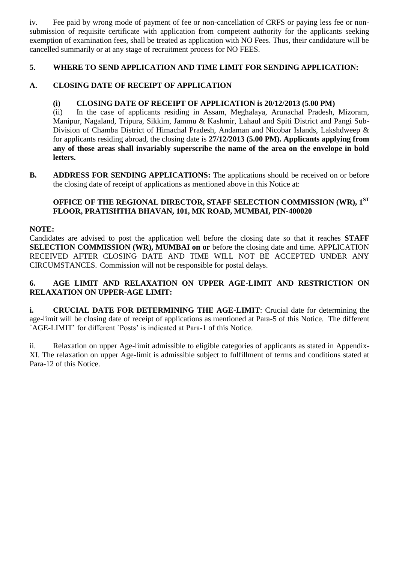iv. Fee paid by wrong mode of payment of fee or non-cancellation of CRFS or paying less fee or nonsubmission of requisite certificate with application from competent authority for the applicants seeking exemption of examination fees, shall be treated as application with NO Fees. Thus, their candidature will be cancelled summarily or at any stage of recruitment process for NO FEES.

# **5. WHERE TO SEND APPLICATION AND TIME LIMIT FOR SENDING APPLICATION:**

# **A. CLOSING DATE OF RECEIPT OF APPLICATION**

# **(i) CLOSING DATE OF RECEIPT OF APPLICATION is 20/12/2013 (5.00 PM)**

(ii) In the case of applicants residing in Assam, Meghalaya, Arunachal Pradesh, Mizoram, Manipur, Nagaland, Tripura, Sikkim, Jammu & Kashmir, Lahaul and Spiti District and Pangi Sub-Division of Chamba District of Himachal Pradesh, Andaman and Nicobar Islands, Lakshdweep & for applicants residing abroad, the closing date is **27/12/2013 (5.00 PM). Applicants applying from any of those areas shall invariably superscribe the name of the area on the envelope in bold letters.**

**B. ADDRESS FOR SENDING APPLICATIONS:** The applications should be received on or before the closing date of receipt of applications as mentioned above in this Notice at:

# **OFFICE OF THE REGIONAL DIRECTOR, STAFF SELECTION COMMISSION (WR), 1 ST FLOOR, PRATISHTHA BHAVAN, 101, MK ROAD, MUMBAI, PIN-400020**

#### **NOTE:**

Candidates are advised to post the application well before the closing date so that it reaches **STAFF SELECTION COMMISSION (WR), MUMBAI on or** before the closing date and time. APPLICATION RECEIVED AFTER CLOSING DATE AND TIME WILL NOT BE ACCEPTED UNDER ANY CIRCUMSTANCES. Commission will not be responsible for postal delays.

# **6. AGE LIMIT AND RELAXATION ON UPPER AGE-LIMIT AND RESTRICTION ON RELAXATION ON UPPER-AGE LIMIT:**

**i. CRUCIAL DATE FOR DETERMINING THE AGE-LIMIT**: Crucial date for determining the age-limit will be closing date of receipt of applications as mentioned at Para-5 of this Notice. The different `AGE-LIMIT' for different `Posts' is indicated at Para-1 of this Notice.

ii. Relaxation on upper Age-limit admissible to eligible categories of applicants as stated in Appendix-XI. The relaxation on upper Age-limit is admissible subject to fulfillment of terms and conditions stated at Para-12 of this Notice.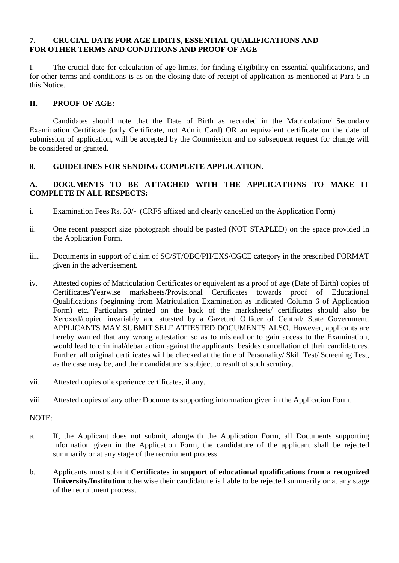#### **7. CRUCIAL DATE FOR AGE LIMITS, ESSENTIAL QUALIFICATIONS AND FOR OTHER TERMS AND CONDITIONS AND PROOF OF AGE**

I. The crucial date for calculation of age limits, for finding eligibility on essential qualifications, and for other terms and conditions is as on the closing date of receipt of application as mentioned at Para-5 in this Notice.

# **II. PROOF OF AGE:**

Candidates should note that the Date of Birth as recorded in the Matriculation/ Secondary Examination Certificate (only Certificate, not Admit Card) OR an equivalent certificate on the date of submission of application, will be accepted by the Commission and no subsequent request for change will be considered or granted.

# **8. GUIDELINES FOR SENDING COMPLETE APPLICATION.**

# **A. DOCUMENTS TO BE ATTACHED WITH THE APPLICATIONS TO MAKE IT COMPLETE IN ALL RESPECTS:**

- i. Examination Fees Rs. 50/- (CRFS affixed and clearly cancelled on the Application Form)
- ii. One recent passport size photograph should be pasted (NOT STAPLED) on the space provided in the Application Form.
- iii.. Documents in support of claim of SC/ST/OBC/PH/EXS/CGCE category in the prescribed FORMAT given in the advertisement.
- iv. Attested copies of Matriculation Certificates or equivalent as a proof of age (Date of Birth) copies of Certificates/Yearwise marksheets/Provisional Certificates towards proof of Educational Qualifications (beginning from Matriculation Examination as indicated Column 6 of Application Form) etc. Particulars printed on the back of the marksheets/ certificates should also be Xeroxed/copied invariably and attested by a Gazetted Officer of Central/ State Government. APPLICANTS MAY SUBMIT SELF ATTESTED DOCUMENTS ALSO. However, applicants are hereby warned that any wrong attestation so as to mislead or to gain access to the Examination, would lead to criminal/debar action against the applicants, besides cancellation of their candidatures. Further, all original certificates will be checked at the time of Personality/ Skill Test/ Screening Test, as the case may be, and their candidature is subject to result of such scrutiny.
- vii. Attested copies of experience certificates, if any.
- viii. Attested copies of any other Documents supporting information given in the Application Form.

NOTE:

- a. If, the Applicant does not submit, alongwith the Application Form, all Documents supporting information given in the Application Form, the candidature of the applicant shall be rejected summarily or at any stage of the recruitment process.
- b. Applicants must submit **Certificates in support of educational qualifications from a recognized University/Institution** otherwise their candidature is liable to be rejected summarily or at any stage of the recruitment process.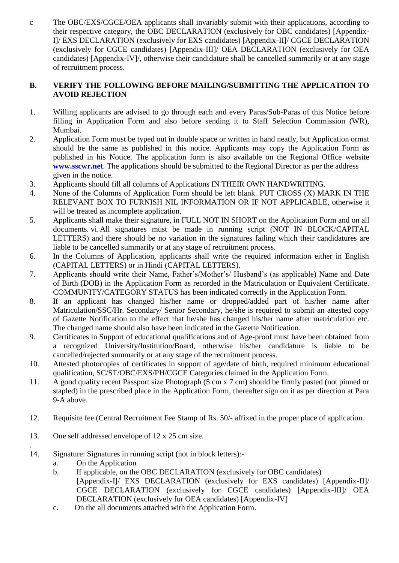c The OBC/EXS/CGCE/OEA applicants shall invariably submit with their applications, according to their respective category, the OBC DECLARATION (exclusively for OBC candidates) [Appendix-I]/ EXS DECLARATION (exclusively for EXS candidates) [Appendix-II]/ CGCE DECLARATION (exclusively for CGCE candidates) [Appendix-III]/ OEA DECLARATION (exclusively for OEA candidates) [Appendix-IV]/, otherwise their candidature shall be cancelled summarily or at any stage of recruitment process.

# **B. VERIFY THE FOLLOWING BEFORE MAILING/SUBMITTING THE APPLICATION TO AVOID REJECTION**

- 1. Willing applicants are advised to go through each and every Paras/Sub-Paras of this Notice before filling in Application Form and also before sending it to Staff Selection Commission (WR), Mumbai.
- 2. Application Form must be typed out in double space or written in hand neatly, but Application ormat should be the same as published in this notice. Applicants may copy the Application Form as published in his Notice. The application form is also available on the Regional Office website **www.sscwr.net**. The applications should be submitted to the Regional Director as per the address given in the notice.
- 3. Applicants should fill all columns of Applications IN THEIR OWN HANDWRITING.
- 4. None of the Columns of Application Form should be left blank. PUT CROSS (X) MARK IN THE RELEVANT BOX TO FURNISH NIL INFORMATION OR IF NOT APPLICABLE, otherwise it will be treated as incomplete application.
- 5. Applicants shall make their signature, in FULL NOT IN SHORT on the Application Form and on all documents. vi.All signatures must be made in running script (NOT IN BLOCK/CAPITAL LETTERS) and there should be no variation in the signatures failing which their candidatures are liable to be cancelled summarily or at any stage of recruitment process.
- 6. In the Columns of Application, applicants shall write the required information either in English (CAPITAL LETTERS) or in Hindi (CAPITAL LETTERS).
- 7. Applicants should write their Name, Father's/Mother's/ Husband's (as applicable) Name and Date of Birth (DOB) in the Application Form as recorded in the Matriculation or Equivalent Certificate. COMMUNITY/CATEGORY STATUS has been indicated correctly in the Application Form.
- 8. If an applicant has changed his/her name or dropped/added part of his/her name after Matriculation/SSC/Hr. Secondary/ Senior Secondary, he/she is required to submit an attested copy of Gazette Notification to the effect that he/she has changed his/her name after matriculation etc. The changed name should also have been indicated in the Gazette Notification.
- 9. Certificates in Support of educational qualifications and of Age-proof must have been obtained from a recognized University/Institution/Board, otherwise his/her candidature is liable to be cancelled/rejected summarily or at any stage of the recruitment process.
- 10. Attested photocopies of certificates in support of age/date of birth, required minimum educational qualification, SC/ST/OBC/EXS/PH/CGCE Categories claimed in the Application Form.
- 11. A good quality recent Passport size Photograph (5 cm x 7 cm) should be firmly pasted (not pinned or stapled) in the prescribed place in the Application Form, thereafter sign on it as per direction at Para 9-A above.
- 12. Requisite fee (Central Recruitment Fee Stamp of Rs. 50/- affixed in the proper place of application.
- 13. One self addressed envelope of 12 x 25 cm size.
- 14. Signature: Signatures in running script (not in block letters):
	- a. On the Application

.

- b. If applicable, on the OBC DECLARATION (exclusively for OBC candidates) [Appendix-I]/ EXS DECLARATION (exclusively for EXS candidates) [Appendix-II]/ CGCE DECLARATION (exclusively for CGCE candidates) [Appendix-III]/ OEA DECLARATION (exclusively for OEA candidates) [Appendix-IV]
- c. On the all documents attached with the Application Form.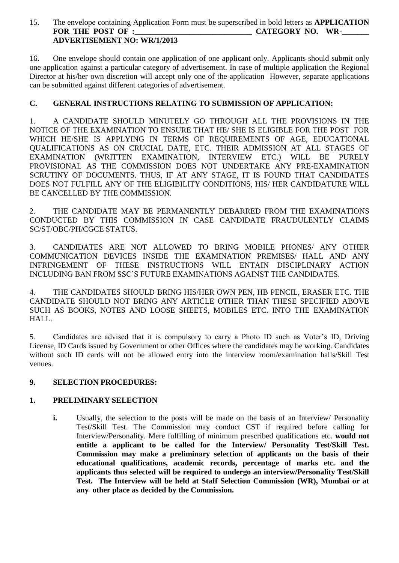# 15. The envelope containing Application Form must be superscribed in bold letters as **APPLICATION FOR THE POST OF :\_\_\_\_\_\_\_\_\_\_\_\_\_\_\_\_\_\_\_\_\_\_\_\_\_\_\_\_\_\_ CATEGORY NO. WR-\_\_\_\_\_\_\_ ADVERTISEMENT NO: WR/1/2013**

16. One envelope should contain one application of one applicant only. Applicants should submit only one application against a particular category of advertisement. In case of multiple application the Regional Director at his/her own discretion will accept only one of the application However, separate applications can be submitted against different categories of advertisement.

# **C. GENERAL INSTRUCTIONS RELATING TO SUBMISSION OF APPLICATION:**

1. A CANDIDATE SHOULD MINUTELY GO THROUGH ALL THE PROVISIONS IN THE NOTICE OF THE EXAMINATION TO ENSURE THAT HE/ SHE IS ELIGIBLE FOR THE POST FOR WHICH HE/SHE IS APPLYING IN TERMS OF REQUIREMENTS OF AGE, EDUCATIONAL QUALIFICATIONS AS ON CRUCIAL DATE, ETC. THEIR ADMISSION AT ALL STAGES OF EXAMINATION (WRITTEN EXAMINATION, INTERVIEW ETC.) WILL BE PURELY PROVISIONAL AS THE COMMISSION DOES NOT UNDERTAKE ANY PRE-EXAMINATION SCRUTINY OF DOCUMENTS. THUS, IF AT ANY STAGE, IT IS FOUND THAT CANDIDATES DOES NOT FULFILL ANY OF THE ELIGIBILITY CONDITIONS, HIS/ HER CANDIDATURE WILL BE CANCELLED BY THE COMMISSION.

2. THE CANDIDATE MAY BE PERMANENTLY DEBARRED FROM THE EXAMINATIONS CONDUCTED BY THIS COMMISSION IN CASE CANDIDATE FRAUDULENTLY CLAIMS SC/ST/OBC/PH/CGCE STATUS.

3. CANDIDATES ARE NOT ALLOWED TO BRING MOBILE PHONES/ ANY OTHER COMMUNICATION DEVICES INSIDE THE EXAMINATION PREMISES/ HALL AND ANY INFRINGEMENT OF THESE INSTRUCTIONS WILL ENTAIN DISCIPLINARY ACTION INCLUDING BAN FROM SSC'S FUTURE EXAMINATIONS AGAINST THE CANDIDATES.

4. THE CANDIDATES SHOULD BRING HIS/HER OWN PEN, HB PENCIL, ERASER ETC. THE CANDIDATE SHOULD NOT BRING ANY ARTICLE OTHER THAN THESE SPECIFIED ABOVE SUCH AS BOOKS, NOTES AND LOOSE SHEETS, MOBILES ETC. INTO THE EXAMINATION HALL.

5. Candidates are advised that it is compulsory to carry a Photo ID such as Voter's ID, Driving License, ID Cards issued by Government or other Offices where the candidates may be working. Candidates without such ID cards will not be allowed entry into the interview room/examination halls/Skill Test venues.

# **9. SELECTION PROCEDURES:**

# **1. PRELIMINARY SELECTION**

**i.** Usually, the selection to the posts will be made on the basis of an Interview/ Personality Test/Skill Test. The Commission may conduct CST if required before calling for Interview/Personality. Mere fulfilling of minimum prescribed qualifications etc. **would not entitle a applicant to be called for the Interview/ Personality Test/Skill Test. Commission may make a preliminary selection of applicants on the basis of their educational qualifications, academic records, percentage of marks etc. and the applicants thus selected will be required to undergo an interview/Personality Test/Skill Test. The Interview will be held at Staff Selection Commission (WR), Mumbai or at any other place as decided by the Commission.**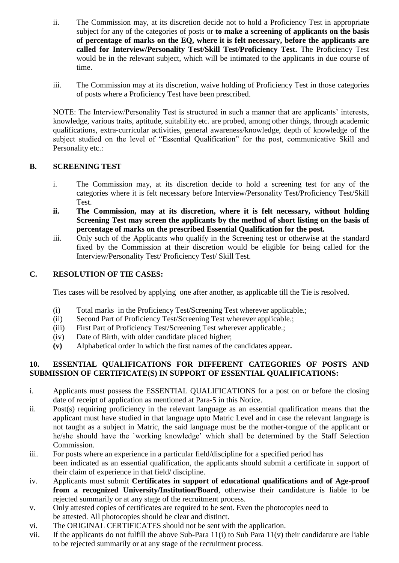- ii. The Commission may, at its discretion decide not to hold a Proficiency Test in appropriate subject for any of the categories of posts or **to make a screening of applicants on the basis of percentage of marks on the EQ, where it is felt necessary, before the applicants are called for Interview/Personality Test/Skill Test/Proficiency Test.** The Proficiency Test would be in the relevant subject, which will be intimated to the applicants in due course of time.
- iii. The Commission may at its discretion, waive holding of Proficiency Test in those categories of posts where a Proficiency Test have been prescribed.

NOTE: The Interview/Personality Test is structured in such a manner that are applicants' interests, knowledge, various traits, aptitude, suitability etc. are probed, among other things, through academic qualifications, extra-curricular activities, general awareness/knowledge, depth of knowledge of the subject studied on the level of "Essential Qualification" for the post, communicative Skill and Personality etc.:

# **B. SCREENING TEST**

- i. The Commission may, at its discretion decide to hold a screening test for any of the categories where it is felt necessary before Interview/Personality Test/Proficiency Test/Skill Test.
- **ii. The Commission, may at its discretion, where it is felt necessary, without holding Screening Test may screen the applicants by the method of short listing on the basis of percentage of marks on the prescribed Essential Qualification for the post.**
- iii. Only such of the Applicants who qualify in the Screening test or otherwise at the standard fixed by the Commission at their discretion would be eligible for being called for the Interview/Personality Test/ Proficiency Test/ Skill Test.

# **C. RESOLUTION OF TIE CASES:**

Ties cases will be resolved by applying one after another, as applicable till the Tie is resolved.

- (i) Total marks in the Proficiency Test/Screening Test wherever applicable.;
- (ii) Second Part of Proficiency Test/Screening Test wherever applicable.;
- (iii) First Part of Proficiency Test/Screening Test wherever applicable.;
- (iv) Date of Birth, with older candidate placed higher;
- **(v)** Alphabetical order In which the first names of the candidates appear**.**

# **10. ESSENTIAL QUALIFICATIONS FOR DIFFERENT CATEGORIES OF POSTS AND SUBMISSION OF CERTIFICATE(S) IN SUPPORT OF ESSENTIAL QUALIFICATIONS:**

- i. Applicants must possess the ESSENTIAL QUALIFICATIONS for a post on or before the closing date of receipt of application as mentioned at Para-5 in this Notice.
- ii. Post(s) requiring proficiency in the relevant language as an essential qualification means that the applicant must have studied in that language upto Matric Level and in case the relevant language is not taught as a subject in Matric, the said language must be the mother-tongue of the applicant or he/she should have the `working knowledge' which shall be determined by the Staff Selection Commission.
- iii. For posts where an experience in a particular field/discipline for a specified period has been indicated as an essential qualification, the applicants should submit a certificate in support of their claim of experience in that field/ discipline.
- iv. Applicants must submit **Certificates in support of educational qualifications and of Age-proof from a recognized University/Institution/Board**, otherwise their candidature is liable to be rejected summarily or at any stage of the recruitment process.
- v. Only attested copies of certificates are required to be sent. Even the photocopies need to be attested. All photocopies should be clear and distinct.
- vi. The ORIGINAL CERTIFICATES should not be sent with the application.
- vii. If the applicants do not fulfill the above Sub-Para 11(i) to Sub Para 11(v) their candidature are liable to be rejected summarily or at any stage of the recruitment process.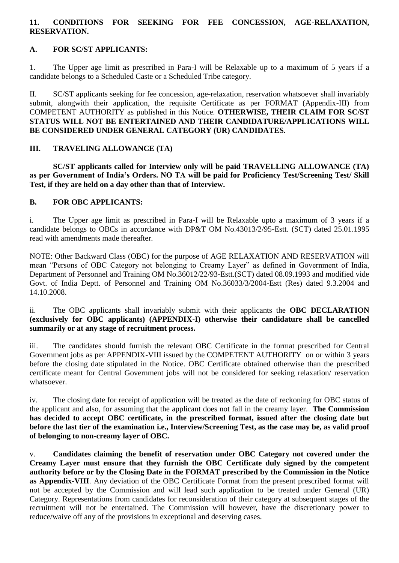# **11. CONDITIONS FOR SEEKING FOR FEE CONCESSION, AGE-RELAXATION, RESERVATION.**

# **A. FOR SC/ST APPLICANTS:**

1. The Upper age limit as prescribed in Para-I will be Relaxable up to a maximum of 5 years if a candidate belongs to a Scheduled Caste or a Scheduled Tribe category.

II. SC/ST applicants seeking for fee concession, age-relaxation, reservation whatsoever shall invariably submit, alongwith their application, the requisite Certificate as per FORMAT (Appendix-III) from COMPETENT AUTHORITY as published in this Notice. **OTHERWISE, THEIR CLAIM FOR SC/ST STATUS WILL NOT BE ENTERTAINED AND THEIR CANDIDATURE/APPLICATIONS WILL BE CONSIDERED UNDER GENERAL CATEGORY (UR) CANDIDATES.**

# **III. TRAVELING ALLOWANCE (TA)**

**SC/ST applicants called for Interview only will be paid TRAVELLING ALLOWANCE (TA) as per Government of India's Orders. NO TA will be paid for Proficiency Test/Screening Test/ Skill Test, if they are held on a day other than that of Interview.**

#### **B. FOR OBC APPLICANTS:**

i. The Upper age limit as prescribed in Para-I will be Relaxable upto a maximum of 3 years if a candidate belongs to OBCs in accordance with DP&T OM No.43013/2/95-Estt. (SCT) dated 25.01.1995 read with amendments made thereafter.

NOTE: Other Backward Class (OBC) for the purpose of AGE RELAXATION AND RESERVATION will mean "Persons of OBC Category not belonging to Creamy Layer" as defined in Government of India, Department of Personnel and Training OM No.36012/22/93-Estt.(SCT) dated 08.09.1993 and modified vide Govt. of India Deptt. of Personnel and Training OM No.36033/3/2004-Estt (Res) dated 9.3.2004 and 14.10.2008.

ii. The OBC applicants shall invariably submit with their applicants the **OBC DECLARATION (exclusively for OBC applicants) (APPENDIX-I) otherwise their candidature shall be cancelled summarily or at any stage of recruitment process.**

iii. The candidates should furnish the relevant OBC Certificate in the format prescribed for Central Government jobs as per APPENDIX-VIII issued by the COMPETENT AUTHORITY on or within 3 years before the closing date stipulated in the Notice. OBC Certificate obtained otherwise than the prescribed certificate meant for Central Government jobs will not be considered for seeking relaxation/ reservation whatsoever.

iv. The closing date for receipt of application will be treated as the date of reckoning for OBC status of the applicant and also, for assuming that the applicant does not fall in the creamy layer. **The Commission has decided to accept OBC certificate, in the prescribed format, issued after the closing date but before the last tier of the examination i.e., Interview/Screening Test, as the case may be, as valid proof of belonging to non-creamy layer of OBC.**

v. **Candidates claiming the benefit of reservation under OBC Category not covered under the Creamy Layer must ensure that they furnish the OBC Certificate duly signed by the competent authority before or by the Closing Date in the FORMAT prescribed by the Commission in the Notice as Appendix-VIII**. Any deviation of the OBC Certificate Format from the present prescribed format will not be accepted by the Commission and will lead such application to be treated under General (UR) Category. Representations from candidates for reconsideration of their category at subsequent stages of the recruitment will not be entertained. The Commission will however, have the discretionary power to reduce/waive off any of the provisions in exceptional and deserving cases.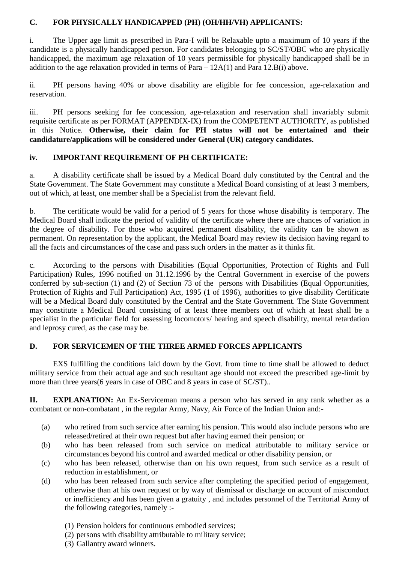#### **C. FOR PHYSICALLY HANDICAPPED (PH) (OH/HH/VH) APPLICANTS:**

i. The Upper age limit as prescribed in Para-I will be Relaxable upto a maximum of 10 years if the candidate is a physically handicapped person. For candidates belonging to SC/ST/OBC who are physically handicapped, the maximum age relaxation of 10 years permissible for physically handicapped shall be in addition to the age relaxation provided in terms of Para  $-12A(1)$  and Para  $12.B(i)$  above.

ii. PH persons having 40% or above disability are eligible for fee concession, age-relaxation and reservation.

iii. PH persons seeking for fee concession, age-relaxation and reservation shall invariably submit requisite certificate as per FORMAT (APPENDIX-IX) from the COMPETENT AUTHORITY, as published in this Notice. **Otherwise, their claim for PH status will not be entertained and their candidature/applications will be considered under General (UR) category candidates.**

# **iv. IMPORTANT REQUIREMENT OF PH CERTIFICATE:**

a. A disability certificate shall be issued by a Medical Board duly constituted by the Central and the State Government. The State Government may constitute a Medical Board consisting of at least 3 members, out of which, at least, one member shall be a Specialist from the relevant field.

b. The certificate would be valid for a period of 5 years for those whose disability is temporary. The Medical Board shall indicate the period of validity of the certificate where there are chances of variation in the degree of disability. For those who acquired permanent disability, the validity can be shown as permanent. On representation by the applicant, the Medical Board may review its decision having regard to all the facts and circumstances of the case and pass such orders in the matter as it thinks fit.

c. According to the persons with Disabilities (Equal Opportunities, Protection of Rights and Full Participation) Rules, 1996 notified on 31.12.1996 by the Central Government in exercise of the powers conferred by sub-section (1) and (2) of Section 73 of the persons with Disabilities (Equal Opportunities, Protection of Rights and Full Participation) Act, 1995 (1 of 1996), authorities to give disability Certificate will be a Medical Board duly constituted by the Central and the State Government. The State Government may constitute a Medical Board consisting of at least three members out of which at least shall be a specialist in the particular field for assessing locomotors/ hearing and speech disability, mental retardation and leprosy cured, as the case may be.

# **D. FOR SERVICEMEN OF THE THREE ARMED FORCES APPLICANTS**

EXS fulfilling the conditions laid down by the Govt. from time to time shall be allowed to deduct military service from their actual age and such resultant age should not exceed the prescribed age-limit by more than three years(6 years in case of OBC and 8 years in case of SC/ST)..

**II. EXPLANATION:** An Ex-Serviceman means a person who has served in any rank whether as a combatant or non-combatant , in the regular Army, Navy, Air Force of the Indian Union and:-

- (a) who retired from such service after earning his pension. This would also include persons who are released/retired at their own request but after having earned their pension; or
- (b) who has been released from such service on medical attributable to military service or circumstances beyond his control and awarded medical or other disability pension, or
- (c) who has been released, otherwise than on his own request, from such service as a result of reduction in establishment, or
- (d) who has been released from such service after completing the specified period of engagement, otherwise than at his own request or by way of dismissal or discharge on account of misconduct or inefficiency and has been given a gratuity , and includes personnel of the Territorial Army of the following categories, namely :-
	- (1) Pension holders for continuous embodied services;
	- (2) persons with disability attributable to military service;
	- (3) Gallantry award winners.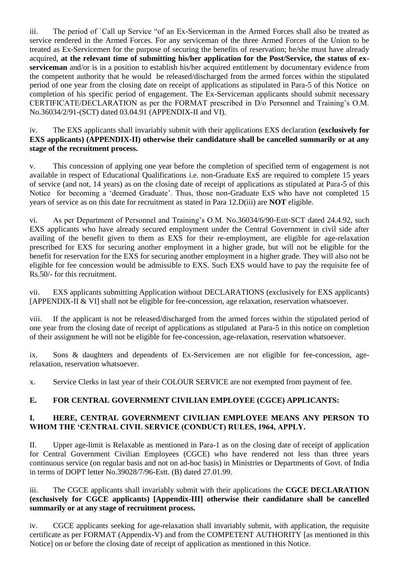iii. The period of `Call up Service "of an Ex-Serviceman in the Armed Forces shall also be treated as service rendered in the Armed Forces. For any serviceman of the three Armed Forces of the Union to be treated as Ex-Servicemen for the purpose of securing the benefits of reservation; he/she must have already acquired, **at the relevant time of submitting his/her application for the Post/Service, the status of exserviceman** and/or is in a position to establish his/her acquired entitlement by documentary evidence from the competent authority that he would be released/discharged from the armed forces within the stipulated period of one year from the closing date on receipt of applications as stipulated in Para-5 of this Notice on completion of his specific period of engagement. The Ex-Serviceman applicants should submit necessary CERTIFICATE/DECLARATION as per the FORMAT prescribed in D/o Personnel and Training's O.M. No.36034/2/91-(SCT) dated 03.04.91 (APPENDIX-II and VI).

# iv. The EXS applicants shall invariably submit with their applications EXS declaration **(exclusively for EXS applicants) (APPENDIX-II) otherwise their candidature shall be cancelled summarily or at any stage of the recruitment process.**

v. This concession of applying one year before the completion of specified term of engagement is not available in respect of Educational Qualifications i.e. non-Graduate ExS are required to complete 15 years of service (and not, 14 years) as on the closing date of receipt of applications as stipulated at Para-5 of this Notice for becoming a 'deemed Graduate'. Thus, those non-Graduate ExS who have not completed 15 years of service as on this date for recruitment as stated in Para 12.D(iii) are **NOT** eligible.

vi. As per Department of Personnel and Training's O.M. No.36034/6/90-Estt-SCT dated 24.4.92, such EXS applicants who have already secured employment under the Central Government in civil side after availing of the benefit given to them as EXS for their re-employment, are eligible for age-relaxation prescribed for EXS for securing another employment in a higher grade, but will not be eligible for the benefit for reservation for the EXS for securing another employment in a higher grade. They will also not be eligible for fee concession would be admissible to EXS. Such EXS would have to pay the requisite fee of Rs.50/- for this recruitment.

vii. EXS applicants submitting Application without DECLARATIONS (exclusively for EXS applicants) [APPENDIX-II & VI] shall not be eligible for fee-concession, age relaxation, reservation whatsoever.

viii. If the applicant is not be released/discharged from the armed forces within the stipulated period of one year from the closing date of receipt of applications as stipulated at Para-5 in this notice on completion of their assignment he will not be eligible for fee-concession, age-relaxation, reservation whatsoever.

ix. Sons & daughters and dependents of Ex-Servicemen are not eligible for fee-concession, agerelaxation, reservation whatsoever.

x. Service Clerks in last year of their COLOUR SERVICE are not exempted from payment of fee.

# **E. FOR CENTRAL GOVERNMENT CIVILIAN EMPLOYEE (CGCE) APPLICANTS:**

# **I. HERE, CENTRAL GOVERNMENT CIVILIAN EMPLOYEE MEANS ANY PERSON TO WHOM THE 'CENTRAL CIVIL SERVICE (CONDUCT) RULES, 1964, APPLY.**

II. Upper age-limit is Relaxable as mentioned in Para-1 as on the closing date of receipt of application for Central Government Civilian Employees (CGCE) who have rendered not less than three years continuous service (on regular basis and not on ad-hoc basis) in Ministries or Departments of Govt. of India in terms of DOPT letter No.39028/7/96-Estt. (B) dated 27.01.99.

# iii. The CGCE applicants shall invariably submit with their applications the **CGCE DECLARATION (exclusively for CGCE applicants) [Appendix-III] otherwise their candidature shall be cancelled summarily or at any stage of recruitment process.**

iv. CGCE applicants seeking for age-relaxation shall invariably submit, with application, the requisite certificate as per FORMAT (Appendix-V) and from the COMPETENT AUTHORITY [as mentioned in this Notice] on or before the closing date of receipt of application as mentioned in this Notice.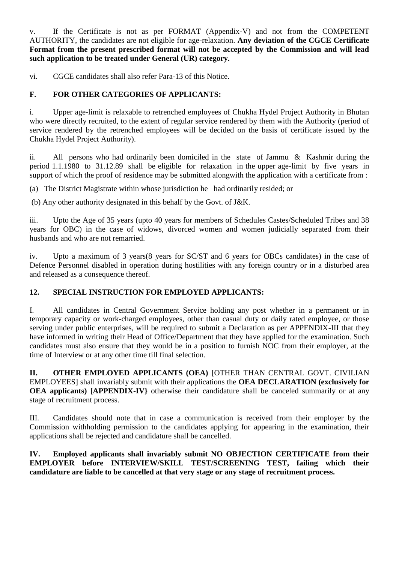v. If the Certificate is not as per FORMAT (Appendix-V) and not from the COMPETENT AUTHORITY, the candidates are not eligible for age-relaxation. **Any deviation of the CGCE Certificate Format from the present prescribed format will not be accepted by the Commission and will lead such application to be treated under General (UR) category.**

vi. CGCE candidates shall also refer Para-13 of this Notice.

# **F. FOR OTHER CATEGORIES OF APPLICANTS:**

i. Upper age-limit is relaxable to retrenched employees of Chukha Hydel Project Authority in Bhutan who were directly recruited, to the extent of regular service rendered by them with the Authority (period of service rendered by the retrenched employees will be decided on the basis of certificate issued by the Chukha Hydel Project Authority).

ii. All persons who had ordinarily been domiciled in the state of Jammu & Kashmir during the period 1.1.1980 to 31.12.89 shall be eligible for relaxation in the upper age-limit by five years in support of which the proof of residence may be submitted alongwith the application with a certificate from :

(a) The District Magistrate within whose jurisdiction he had ordinarily resided; or

(b) Any other authority designated in this behalf by the Govt. of J&K.

iii. Upto the Age of 35 years (upto 40 years for members of Schedules Castes/Scheduled Tribes and 38 years for OBC) in the case of widows, divorced women and women judicially separated from their husbands and who are not remarried.

iv. Upto a maximum of 3 years(8 years for SC/ST and 6 years for OBCs candidates) in the case of Defence Personnel disabled in operation during hostilities with any foreign country or in a disturbed area and released as a consequence thereof.

# **12. SPECIAL INSTRUCTION FOR EMPLOYED APPLICANTS:**

I. All candidates in Central Government Service holding any post whether in a permanent or in temporary capacity or work-charged employees, other than casual duty or daily rated employee, or those serving under public enterprises, will be required to submit a Declaration as per APPENDIX-III that they have informed in writing their Head of Office/Department that they have applied for the examination. Such candidates must also ensure that they would be in a position to furnish NOC from their employer, at the time of Interview or at any other time till final selection.

**II. OTHER EMPLOYED APPLICANTS (OEA)** [OTHER THAN CENTRAL GOVT. CIVILIAN EMPLOYEES] shall invariably submit with their applications the **OEA DECLARATION (exclusively for OEA applicants) [APPENDIX-IV]** otherwise their candidature shall be canceled summarily or at any stage of recruitment process.

III. Candidates should note that in case a communication is received from their employer by the Commission withholding permission to the candidates applying for appearing in the examination, their applications shall be rejected and candidature shall be cancelled.

**IV. Employed applicants shall invariably submit NO OBJECTION CERTIFICATE from their EMPLOYER before INTERVIEW/SKILL TEST/SCREENING TEST, failing which their candidature are liable to be cancelled at that very stage or any stage of recruitment process.**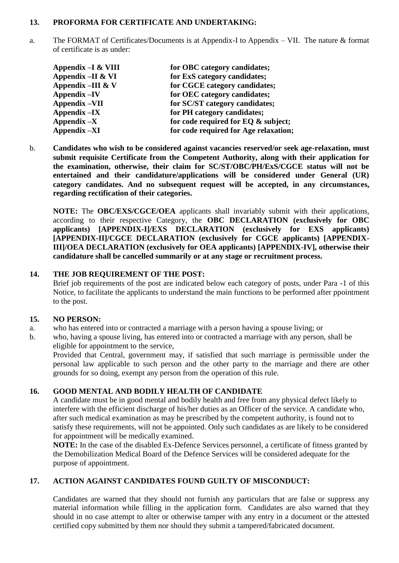#### **13. PROFORMA FOR CERTIFICATE AND UNDERTAKING:**

a. The FORMAT of Certificates/Documents is at Appendix-I to Appendix – VII. The nature & format of certificate is as under:

| for OBC category candidates;          |
|---------------------------------------|
| for ExS category candidates;          |
| for CGCE category candidates;         |
| for OEC category candidates;          |
| for SC/ST category candidates;        |
| for PH category candidates;           |
| for code required for EQ & subject;   |
| for code required for Age relaxation; |
|                                       |

b. **Candidates who wish to be considered against vacancies reserved/or seek age-relaxation, must submit requisite Certificate from the Competent Authority, along with their application for the examination, otherwise, their claim for SC/ST/OBC/PH/ExS/CGCE status will not be entertained and their candidature/applications will be considered under General (UR) category candidates. And no subsequent request will be accepted, in any circumstances, regarding rectification of their categories.** 

**NOTE:** The **OBC/EXS/CGCE/OEA** applicants shall invariably submit with their applications, according to their respective Category, the **OBC DECLARATION (exclusively for OBC applicants) [APPENDIX-I]/EXS DECLARATION (exclusively for EXS applicants) [APPENDIX-II]/CGCE DECLARATION (exclusively for CGCE applicants) [APPENDIX-III]/OEA DECLARATION (exclusively for OEA applicants) [APPENDIX-IV], otherwise their candidature shall be cancelled summarily or at any stage or recruitment process.** 

#### **14. THE JOB REQUIREMENT OF THE POST:**

Brief job requirements of the post are indicated below each category of posts, under Para -1 of this Notice, to facilitate the applicants to understand the main functions to be performed after ppointment to the post.

#### **15. NO PERSON:**

- a. who has entered into or contracted a marriage with a person having a spouse living; or
- b. who, having a spouse living, has entered into or contracted a marriage with any person, shall be eligible for appointment to the service,

Provided that Central, government may, if satisfied that such marriage is permissible under the personal law applicable to such person and the other party to the marriage and there are other grounds for so doing, exempt any person from the operation of this rule.

#### **16. GOOD MENTAL AND BODILY HEALTH OF CANDIDATE**

A candidate must be in good mental and bodily health and free from any physical defect likely to interfere with the efficient discharge of his/her duties as an Officer of the service. A candidate who, after such medical examination as may be prescribed by the competent authority, is found not to satisfy these requirements, will not be appointed. Only such candidates as are likely to be considered for appointment will be medically examined.

**NOTE:** In the case of the disabled Ex-Defence Services personnel, a certificate of fitness granted by the Demobilization Medical Board of the Defence Services will be considered adequate for the purpose of appointment.

#### **17. ACTION AGAINST CANDIDATES FOUND GUILTY OF MISCONDUCT:**

Candidates are warned that they should not furnish any particulars that are false or suppress any material information while filling in the application form. Candidates are also warned that they should in no case attempt to alter or otherwise tamper with any entry in a document or the attested certified copy submitted by them nor should they submit a tampered/fabricated document.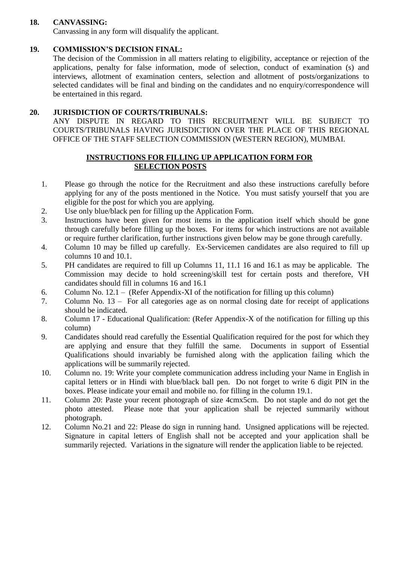# **18. CANVASSING:**

Canvassing in any form will disqualify the applicant.

# **19. COMMISSION'S DECISION FINAL:**

The decision of the Commission in all matters relating to eligibility, acceptance or rejection of the applications, penalty for false information, mode of selection, conduct of examination (s) and interviews, allotment of examination centers, selection and allotment of posts/organizations to selected candidates will be final and binding on the candidates and no enquiry/correspondence will be entertained in this regard.

# **20. JURISDICTION OF COURTS/TRIBUNALS:**

ANY DISPUTE IN REGARD TO THIS RECRUITMENT WILL BE SUBJECT TO COURTS/TRIBUNALS HAVING JURISDICTION OVER THE PLACE OF THIS REGIONAL OFFICE OF THE STAFF SELECTION COMMISSION (WESTERN REGION), MUMBAI.

# **INSTRUCTIONS FOR FILLING UP APPLICATION FORM FOR SELECTION POSTS**

- 1. Please go through the notice for the Recruitment and also these instructions carefully before applying for any of the posts mentioned in the Notice. You must satisfy yourself that you are eligible for the post for which you are applying.
- 2. Use only blue/black pen for filling up the Application Form.
- 3. Instructions have been given for most items in the application itself which should be gone through carefully before filling up the boxes. For items for which instructions are not available or require further clarification, further instructions given below may be gone through carefully.
- 4. Column 10 may be filled up carefully. Ex-Servicemen candidates are also required to fill up columns 10 and 10.1.
- 5. PH candidates are required to fill up Columns 11, 11.1 16 and 16.1 as may be applicable. The Commission may decide to hold screening/skill test for certain posts and therefore, VH candidates should fill in columns 16 and 16.1
- 6. Column No. 12.1 (Refer Appendix-XI of the notification for filling up this column)
- 7. Column No. 13 For all categories age as on normal closing date for receipt of applications should be indicated.
- 8. Column 17 Educational Qualification: (Refer Appendix-X of the notification for filling up this column)
- 9. Candidates should read carefully the Essential Qualification required for the post for which they are applying and ensure that they fulfill the same. Documents in support of Essential Qualifications should invariably be furnished along with the application failing which the applications will be summarily rejected.
- 10. Column no. 19: Write your complete communication address including your Name in English in capital letters or in Hindi with blue/black ball pen. Do not forget to write 6 digit PIN in the boxes. Please indicate your email and mobile no. for filling in the column 19.1.
- 11. Column 20: Paste your recent photograph of size 4cmx5cm. Do not staple and do not get the photo attested. Please note that your application shall be rejected summarily without photograph.
- 12. Column No.21 and 22: Please do sign in running hand. Unsigned applications will be rejected. Signature in capital letters of English shall not be accepted and your application shall be summarily rejected. Variations in the signature will render the application liable to be rejected.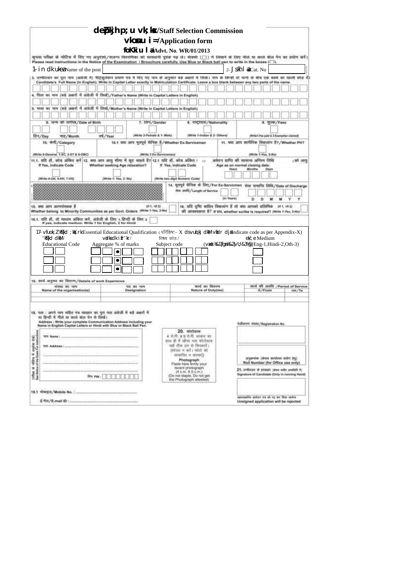|                                                                                                                                                                                                                                                                              | debkjh p; u vk; kx/Staff Selection Commission                                                                                            |                                                             |                                                                                                                                                                                      |
|------------------------------------------------------------------------------------------------------------------------------------------------------------------------------------------------------------------------------------------------------------------------------|------------------------------------------------------------------------------------------------------------------------------------------|-------------------------------------------------------------|--------------------------------------------------------------------------------------------------------------------------------------------------------------------------------------|
|                                                                                                                                                                                                                                                                              |                                                                                                                                          | $\vee$ konu i = <b>Application form</b>                     |                                                                                                                                                                                      |
|                                                                                                                                                                                                                                                                              |                                                                                                                                          | foKki u   a/Advt. No. WR/01/2013                            | कृपया परीक्षा के नोटिस में दिए गए अनुदेशों/सलम्न विवरणिका को सावधानी पूर्वक पढ़ ले। बीक्सों (□) में लिखने के लिए नीले या काले बील पेन का प्रयोग करें।                                |
|                                                                                                                                                                                                                                                                              | Please read instructions in the Notice of the Examination / Brouchure carefully. Use Blue or Black ball pen to write in the boxes {[1]}. |                                                             |                                                                                                                                                                                      |
| 1. in dk uke is Name of the post                                                                                                                                                                                                                                             |                                                                                                                                          |                                                             | 2- Jsh   a/Cat. No<br>3. उम्मीदवार का पूरा नाम (अग्रजी मे) मोट्रकुलेशन प्रमाण पत्र मे दिए गए नाम के अनुसार बड़े अवरों मे लिखे। नाम के किन्ही दो भागी के बीच एक बवसे को खाली छोड़ दी। |
|                                                                                                                                                                                                                                                                              |                                                                                                                                          |                                                             | Candidate's Full Name (in English). Write in Capital Letter exactly in Matriculation Certificate. Leave a box blank between any two parts of the name.                               |
|                                                                                                                                                                                                                                                                              | 4. पिता का नाम (बड़े अक्षरों में अंग्रेजी में लिखें)/Father's Name (Write in Capital Letters in English)                                 |                                                             |                                                                                                                                                                                      |
|                                                                                                                                                                                                                                                                              |                                                                                                                                          |                                                             |                                                                                                                                                                                      |
| 5. माता का                                                                                                                                                                                                                                                                   | नाम (बड़े अक्षरों में अंग्रेजी में लिखें/Mother's Name (Write in Capital Letters in English)                                             |                                                             |                                                                                                                                                                                      |
| 6. जन्म की तारीख/Date of Birth                                                                                                                                                                                                                                               | 7. 1817/Gender                                                                                                                           | 8. TINGITIM / Nationality                                   | 9. शुल्क/Foos                                                                                                                                                                        |
|                                                                                                                                                                                                                                                                              |                                                                                                                                          |                                                             |                                                                                                                                                                                      |
| दिन/Day<br>नाह/Month                                                                                                                                                                                                                                                         | (Write 2-Famale & 1- Mala)<br><b>44/Year</b>                                                                                             | (Write 1-Indian & 2- Others)                                | (Mrite1-Fee paid & 2-Examption claimed)                                                                                                                                              |
| 10. 咖啡/Category                                                                                                                                                                                                                                                              | 10.1 क्या आप भूतपूर्व सैनिक हैं/Whether Ex-Serviceman                                                                                    |                                                             | 11. क्या आप शारीरिक विकलांग है?/Whether PH?                                                                                                                                          |
| (Write #-General, 1-SC, 2-ST & 6-OBC)                                                                                                                                                                                                                                        | (Write 3 Ex-Serviceman)                                                                                                                  |                                                             | (Write 1-Yes, 2-No)                                                                                                                                                                  |
| If Yes, indicate Code                                                                                                                                                                                                                                                        | 11.1. यदि हीं, कोंस अंकित करें 12. क्या आप आयु सीमा में छुट धाहते हैं? 12.1 यदि हीं, कोंस अंकित 1<br>Whether seeking Age relaxation?     | 13<br>If Yes, indicate Code                                 | अवेदन प्राप्ति की सामान्य अनिषम तिथि<br>। को आय<br>Age as on normal closing date                                                                                                     |
|                                                                                                                                                                                                                                                                              |                                                                                                                                          |                                                             | <b>Months</b><br><b>Yours</b><br>Days                                                                                                                                                |
| (Write 4-OH, 5-HH, 7-VH)                                                                                                                                                                                                                                                     | (Write 1- Yes, 2- No)                                                                                                                    | (Write hea digit Numeric Code)                              |                                                                                                                                                                                      |
|                                                                                                                                                                                                                                                                              |                                                                                                                                          | रीमा अमरि/Langth of Service                                 | 14. भूतपूर्व शैनिक के लिए/For Ex-Servicmen सेवा समाप्ति लिथि/Date of Discharge<br>(in Years)<br>Y<br>Y<br>Ď<br>M                                                                     |
| 15. क्या आप अल्पसंख्यक है                                                                                                                                                                                                                                                    | (件1, + 件 2)                                                                                                                              |                                                             | 16. यदि दृष्टि बाधित विकलांग हैं तो क्या आपको प्रलिपिक<br>(6.1. +6.2)                                                                                                                |
|                                                                                                                                                                                                                                                                              | Whether belong to Minority Communities as per Govt. Orders (Write 1-Yes, 2-No)                                                           |                                                             | की अल्वश्यकता है? If VH, whether scribe is required? (Write 1-Yes, 2-No)                                                                                                             |
| 16.1. यदि हों, तो माध्यम अंकित करें, अंग्रेजी के लिए 1, हिन्दी के लिए 2<br>If yes, indicate medium. Write 1 for English, 2 for Hindi                                                                                                                                         |                                                                                                                                          |                                                             |                                                                                                                                                                                      |
|                                                                                                                                                                                                                                                                              |                                                                                                                                          |                                                             | 17. vfuok; l' K{kd ; \k ; r\/Essential Educational Qualification ( परिशिष्ट- X ds vu  kj dkM vfdr dj#Indicate code as per Appendix-X)                                                |
| 'Kiskd dkM /                                                                                                                                                                                                                                                                 | vidks dk i fr' kr/                                                                                                                       | विषय कोड /                                                  | el/: e <b>Medium</b>                                                                                                                                                                 |
| <b>Educational Code</b>                                                                                                                                                                                                                                                      | Aggregate % of marks                                                                                                                     | Subject code                                                | (∨xsth&1 fgnh&2 ∨l); &3½@(Eng-1,Hindi-2,Oth-3)                                                                                                                                       |
|                                                                                                                                                                                                                                                                              | ٠                                                                                                                                        |                                                             |                                                                                                                                                                                      |
|                                                                                                                                                                                                                                                                              | $\bullet$                                                                                                                                |                                                             |                                                                                                                                                                                      |
|                                                                                                                                                                                                                                                                              |                                                                                                                                          |                                                             |                                                                                                                                                                                      |
| 18. कार्य अनुमद का विवरण/Details of work Experience<br>संख्या का नाम                                                                                                                                                                                                         | पद का नाम                                                                                                                                | कार्य का विवरण                                              | कार्य की अवधि /Period of Service                                                                                                                                                     |
| Name of the organisation(s)                                                                                                                                                                                                                                                  | Designation                                                                                                                              | Nature of Duty(les)                                         | #/From<br>तक/To                                                                                                                                                                      |
|                                                                                                                                                                                                                                                                              |                                                                                                                                          |                                                             |                                                                                                                                                                                      |
|                                                                                                                                                                                                                                                                              |                                                                                                                                          |                                                             |                                                                                                                                                                                      |
| 19. पता : अपने नाम शहित पत्र व्यवहार का पुरा पता अंग्रेजी में बड़े अक्षरों में<br>या हिन्दी में नीले वा काले बॉल पेन से लिखे।<br>Address : Write your complete Communication Address including your<br>Name in English Capital Letters or Hindi with Blue or Black Ball Pen. |                                                                                                                                          |                                                             | videover view/Registration No.                                                                                                                                                       |
|                                                                                                                                                                                                                                                                              |                                                                                                                                          | $20.$ when $m$<br>4 克用 X 5 克有, ABBR 市                       |                                                                                                                                                                                      |
| THE Address Communication in the community                                                                                                                                                                                                                                   |                                                                                                                                          | हाल ही में खींचा गया फोटोग्राफ<br>यहाँ डीक डंग से चिपकारों। |                                                                                                                                                                                      |
|                                                                                                                                                                                                                                                                              |                                                                                                                                          | (स्टेपल न करें। फोटो को<br>सत्यापित न करवाएं)               |                                                                                                                                                                                      |
|                                                                                                                                                                                                                                                                              |                                                                                                                                          | Photograph<br>Paste here firmly your                        | अनुक्रमांक (केवल कार्यालय प्रयोग हेत्).<br>Roll Number (for Office use only)                                                                                                         |
|                                                                                                                                                                                                                                                                              |                                                                                                                                          | recent photograph<br>(4 cm, X5 cm)                          | 21. उम्मीदवार के इस्ताकर (कंपार प्लीट प्रस्तीतर ने)                                                                                                                                  |
| (viter at vitin 4 anyins del)<br>See Nation of the Exam For Instruct                                                                                                                                                                                                         | $F = F + F + F + F + F$                                                                                                                  | (Do not staple, Do not get<br>the Photograph attested)      | Signature of Candidate (Only in running Hand)                                                                                                                                        |
|                                                                                                                                                                                                                                                                              |                                                                                                                                          |                                                             |                                                                                                                                                                                      |
|                                                                                                                                                                                                                                                                              |                                                                                                                                          |                                                             | अहमराअस्ति अधिदान पत्र को पह क्रम दिया जायेगा                                                                                                                                        |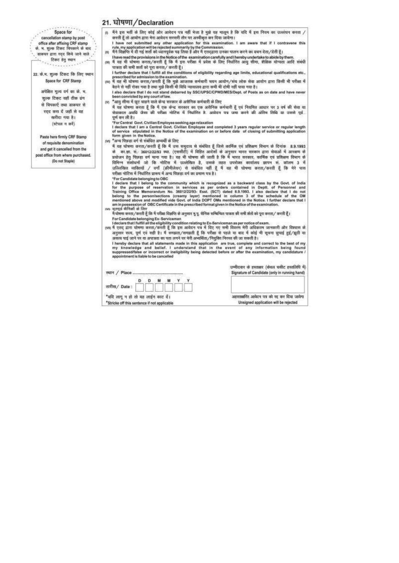#### 21. घोषणा/Declaration

- मैंगे इस मती के लिए कोई और आवेदन पत्र नहीं भेजा है मुझे यह मालूम है कि यदि मैं इस नियम का उल्लंघन करता /  $\omega$ करती हूँ तो आयोग द्वारा मेरा आवेदन सरसरी तौर पर अस्वीकृत कर दिया जावेगा।
	- ਾ have not submitted any other application for this examination. I am aware that if I contravene this rule, my application will be rejected summarily by the Commission.<br>ਜਿਥੇ ਗਿਆਰਿ ਸੇਂ ਦੀ ਸਤੁੰ ਗਰੀ को ध्यानपूर्वक पढ़ लिया
- òn.
- l have read the provisions in the Notice of the examination carefully and l hereby undertake to abide by them.<br>मैं यह भी घोषणा करता/करती हूँ कि मैं इस परीक्षा में प्रवेश के लिए निर्धारित आयु सीमा, शैक्षिक योग्यता आदि संबं an पात्रता की सभी शर्तों को पूरा करता/ करती हैं।
- I further declare that I fulfill all the conditions of eligibility regarding age limits, educational qualifications etc., prescribed for admission to the examination.<br>(vv) मैं यह भी घोषणा करता/करती हूँ कि मुझे आजतक कर्मचा
- .<br>बैठने से नहीं रोका गया है तथा मुझे किसी भी विधि न्यायालय द्वारा कभी भी दोषी नहीं पाया गया है।

I also declare that I do not stand debarred by SSC/UPSC/CPWD/MES/Dept. of Posts as on date and have never been convicted by any court of law.

(v) \*आयु सीमा में छूट चाहने वाले केन्द्र सरकार के असैनिक कर्मचारी के लिए

र्म यह धोषणा करता है कि मैं एक केन्द्र शरकार का एक असैनिक कर्मचारी हैं एवं नियमित आधार पर 3 वर्ष की सेवा या सेवाकाल अवधि जैसा की परीक्षा नोटिस में निर्धारित है. आवेदन पत्र जमा करने की अंतिम तिथि या उससे पूर्व. पूर्ण कर ली है।

The Contral Govt. Civilian Employee seeking age relaxation<br>1 declare that I am a Central Govt. Civilian Employee and completed 3 years regular service or regular length<br>1 declare that I am a Central Govt. Civilian Employee

\*अन्य पिछड़ा वर्ग से संबंधित अभ्यर्थी के लिए rvo.

र्म यह घोषणा करता/करती हूँ कि मैं उस समूदाय से संबंधित हूँ जिसे कार्मिक एवं प्रशिक्षण विभाग के दिनांक 8.9.1993 के का.शा. सं.- 36012/22/93 स्था. (एससीटी) में विहित आदेशों के अनुसार भारत सरकार द्वारा सेवाओं में आरक्षण के<br>प्रयोजन हेतु पिछड़ा वर्ग माना गया है। वह भी घोषणा की जाती है कि मैं भारत सरकार, कार्मिक एवं प्रशिक्षण विभाग के विमिन्न संशोधनों जो कि नोटिस में उल्लेखित है, उसके तहत उपरोक्त कार्यालय ज्ञापन से कॉलम 3 में<br>उल्लिखित व्यक्तियों / बर्गो (क्रीमीलेयर) से संबंधित नहीं हूँ मैं यह भी घोषणा करता/करती हूँ कि मेरे पास<br>परीक्षा नोटिस में निर्धार

weten vincet at returned stress of the community which is recognized as a backward class by the Govt. of India<br>for Candidate belonging to OBC<br>for the purpose of reservation in services as per orders contained in Deptt. of

- (Vb मैं घोषणा करता/करती हूँ कि मैं परीक्षा विक्षपित के अनुसार मु.पू. सैनिक सम्बिन्धित पात्रता की सभी शंतों को पूरा करता/ करती हूँ।
- For Candidate belonging Ex-Serviceman<br>I declare that I fulfill all the eligibility condition relating to Ex-Serviceman as per notice of exam.<br>(vn) मैं एतद् द्वारा घोषणाः करता/करती हैं, कि इस आवेदन पत्र में दिए गए सभी विवर अनुसार सत्य, पूर्ण एवं सही है। मैं समझता/समझती हूँ कि परीक्षा से पहले या बाद में कोई भी सूचना छपाई हुई/झुठी या असला पाई जाने पर या अपात्रता का पता लगने पर मेरी अभ्यर्थिता/मियुक्ति निरस्त की जा सकती है।

I hereby declare that all statements made in this application are true, complete and correct to the best of my<br>my knowledge and belief. I understand that in the event of any information being found<br>suppressed/false or inco appointment is liable to be cancelled

| तारीख/ Date: |  |  |  |
|--------------|--|--|--|

अहस्ताबस्ति अत्येदन पत्र को रद्द कर दिया जायेगा Unsigned application will be rejected

चम्मीदवार के हस्ताक्षर (केवल घसीट हस्तलिपि में) Signature of Candidate (only in running hand)

(स्टेयल न करें) Paste here firmly CRF Stamp of requisite denomination and get it cancelled from the post office from where purchased. (Do not Staple)

Space for

cancellation stamp by post

office after affixing CRF stamp के. भ. शुल्क टिकट चिपकाने के बाद

, डाकपर द्वारा स्व्द किये जाने वाले .-

22. के.म. शुल्क टिकट कि लिए स्थान Space for CRF Stamp

अपेक्षित मूल्य वर्ग का के. भ.

शुल्क दिकट यहाँ ठीक ढंग

से चिपकाएँ तथा डाकघर से

रदद करा दें जहाँ से वह

खरीदा गया है।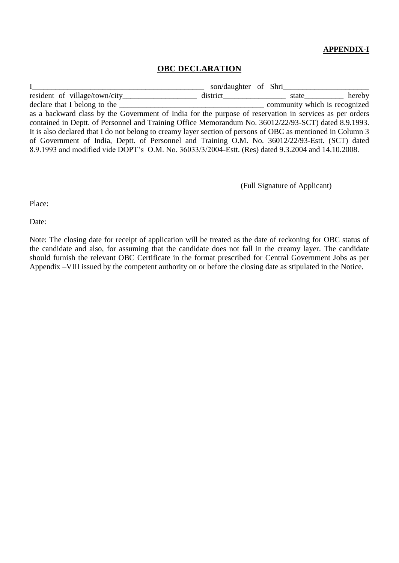# **APPENDIX-I**

# **OBC DECLARATION**

I\_\_\_\_\_\_\_\_\_\_\_\_\_\_\_\_\_\_\_\_\_\_\_\_\_\_\_\_\_\_\_\_\_\_\_\_\_\_\_\_\_\_\_\_ son/daughter of Shri\_\_\_\_\_\_\_\_\_\_\_\_\_\_\_\_\_\_\_\_\_\_ resident of village/town/city\_\_\_\_\_\_\_\_\_\_\_\_\_\_\_\_\_\_\_\_ district\_\_\_\_\_\_\_\_\_\_\_\_\_\_\_ state\_\_\_\_\_\_\_\_\_\_\_ hereby declare that I belong to the \_\_\_\_\_\_\_\_\_\_\_\_\_\_\_\_\_\_\_\_\_\_\_\_\_\_\_\_\_\_\_\_\_\_\_\_\_ community which is recognized as a backward class by the Government of India for the purpose of reservation in services as per orders contained in Deptt. of Personnel and Training Office Memorandum No. 36012/22/93-SCT) dated 8.9.1993. It is also declared that I do not belong to creamy layer section of persons of OBC as mentioned in Column 3 of Government of India, Deptt. of Personnel and Training O.M. No. 36012/22/93-Estt. (SCT) dated 8.9.1993 and modified vide DOPT's O.M. No. 36033/3/2004-Estt. (Res) dated 9.3.2004 and 14.10.2008.

(Full Signature of Applicant)

Place:

Date:

Note: The closing date for receipt of application will be treated as the date of reckoning for OBC status of the candidate and also, for assuming that the candidate does not fall in the creamy layer. The candidate should furnish the relevant OBC Certificate in the format prescribed for Central Government Jobs as per Appendix –VIII issued by the competent authority on or before the closing date as stipulated in the Notice.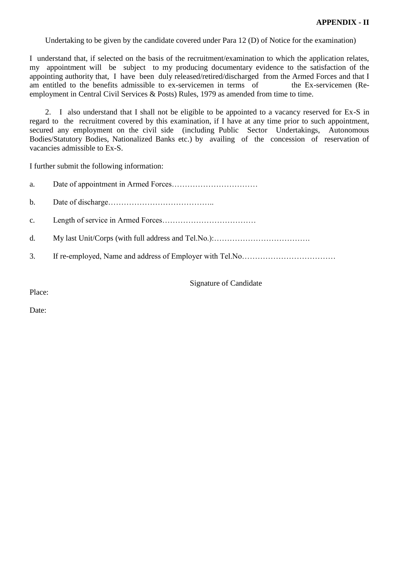Undertaking to be given by the candidate covered under Para 12 (D) of Notice for the examination)

I understand that, if selected on the basis of the recruitment/examination to which the application relates, my appointment will be subject to my producing documentary evidence to the satisfaction of the appointing authority that, I have been duly released/retired/discharged from the Armed Forces and that I am entitled to the benefits admissible to ex-servicemen in terms of the Ex-servicemen (Reemployment in Central Civil Services & Posts) Rules, 1979 as amended from time to time.

 2. I also understand that I shall not be eligible to be appointed to a vacancy reserved for Ex-S in regard to the recruitment covered by this examination, if I have at any time prior to such appointment, secured any employment on the civil side (including Public Sector Undertakings, Autonomous Bodies/Statutory Bodies, Nationalized Banks etc.) by availing of the concession of reservation of vacancies admissible to Ex-S.

I further submit the following information:

| a. |  |
|----|--|
|    |  |
|    |  |
|    |  |
| 3. |  |

Signature of Candidate

Place:

Date: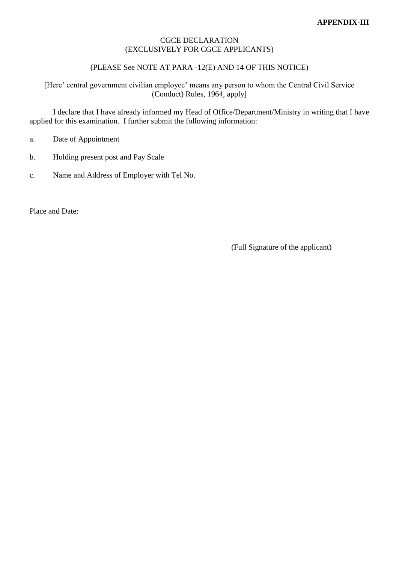#### CGCE DECLARATION (EXCLUSIVELY FOR CGCE APPLICANTS)

#### (PLEASE See NOTE AT PARA -12(E) AND 14 OF THIS NOTICE)

[Here' central government civilian employee' means any person to whom the Central Civil Service (Conduct) Rules, 1964, apply]

I declare that I have already informed my Head of Office/Department/Ministry in writing that I have applied for this examination. I further submit the following information:

- a. Date of Appointment
- b. Holding present post and Pay Scale
- c. Name and Address of Employer with Tel No.

Place and Date:

(Full Signature of the applicant)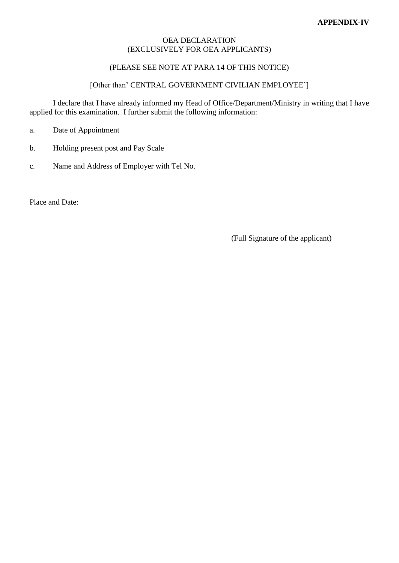#### OEA DECLARATION (EXCLUSIVELY FOR OEA APPLICANTS)

#### (PLEASE SEE NOTE AT PARA 14 OF THIS NOTICE)

#### [Other than' CENTRAL GOVERNMENT CIVILIAN EMPLOYEE']

I declare that I have already informed my Head of Office/Department/Ministry in writing that I have applied for this examination. I further submit the following information:

- a. Date of Appointment
- b. Holding present post and Pay Scale
- c. Name and Address of Employer with Tel No.

Place and Date:

(Full Signature of the applicant)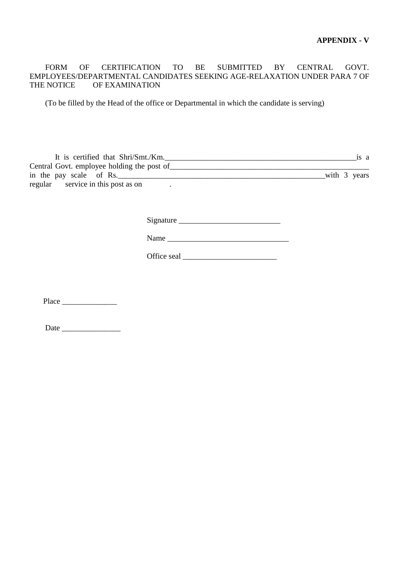FORM OF CERTIFICATION TO BE SUBMITTED BY CENTRAL GOVT. EMPLOYEES/DEPARTMENTAL CANDIDATES SEEKING AGE-RELAXATION UNDER PARA 7 OF THE NOTICE OF EXAMINATION

(To be filled by the Head of the office or Departmental in which the candidate is serving)

| It is certified that Shri/Smt./Km.         | 1S a         |
|--------------------------------------------|--------------|
| Central Govt. employee holding the post of |              |
| in the pay scale of Rs.                    | with 3 years |
| regular service in this post as on         |              |

Signature \_\_\_\_\_\_\_\_\_\_\_\_\_\_\_\_\_\_\_\_\_\_\_\_\_\_

|--|

Office seal \_\_\_\_\_\_\_\_\_\_\_\_\_\_\_\_\_\_\_\_\_\_\_\_

Place \_\_\_\_\_\_\_\_\_\_\_\_\_\_

Date \_\_\_\_\_\_\_\_\_\_\_\_\_\_\_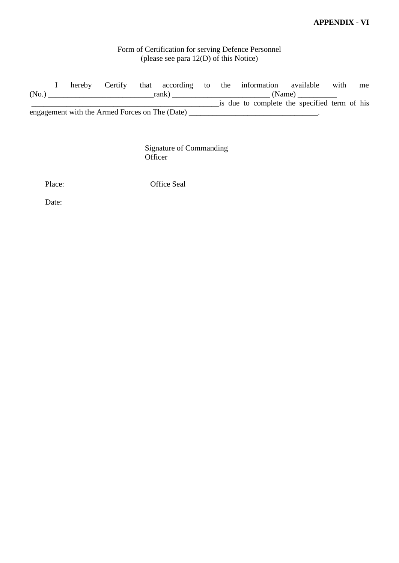#### **APPENDIX - VI**

# Form of Certification for serving Defence Personnel (please see para 12(D) of this Notice)

 I hereby Certify that according to the information available with me (No.) \_\_\_\_\_\_\_\_\_\_\_\_\_\_\_\_\_\_\_\_\_\_\_\_\_\_\_rank) \_\_\_\_\_\_\_\_\_\_\_\_\_\_\_\_\_\_\_\_\_\_\_\_\_ (Name) \_\_\_\_\_\_\_\_\_\_ \_\_\_\_\_\_\_\_\_\_\_\_\_\_\_\_\_\_\_\_\_\_\_\_\_\_\_\_\_\_\_\_\_\_\_\_\_\_\_\_\_\_\_\_\_\_\_\_is due to complete the specified term of his engagement with the Armed Forces on The (Date) \_\_\_\_\_\_\_\_\_\_\_\_\_\_\_\_\_\_\_\_\_\_\_\_\_\_\_\_\_\_\_\_\_.

> Signature of Commanding **Officer**

Place: Office Seal

Date: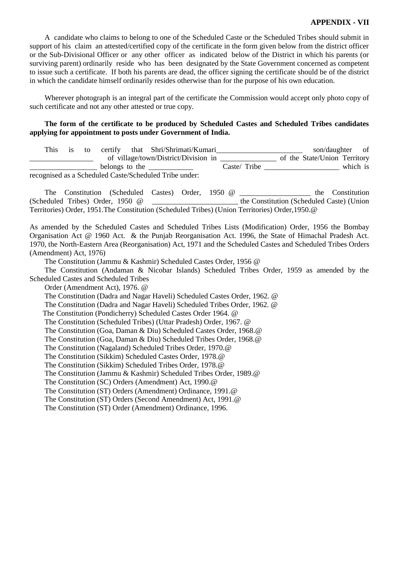#### **APPENDIX - VII**

 A candidate who claims to belong to one of the Scheduled Caste or the Scheduled Tribes should submit in support of his claim an attested/certified copy of the certificate in the form given below from the district officer or the Sub-Divisional Officer or any other officer as indicated below of the District in which his parents (or surviving parent) ordinarily reside who has been designated by the State Government concerned as competent to issue such a certificate. If both his parents are dead, the officer signing the certificate should be of the district in which the candidate himself ordinarily resides otherwise than for the purpose of his own education.

 Wherever photograph is an integral part of the certificate the Commission would accept only photo copy of such certificate and not any other attested or true copy.

#### **The form of the certificate to be produced by Scheduled Castes and Scheduled Tribes candidates applying for appointment to posts under Government of India.**

| This - | to |                | certify that Shri/Shrimati/Kumari                      |              | son/daughter                 | <sub>of</sub> |
|--------|----|----------------|--------------------------------------------------------|--------------|------------------------------|---------------|
|        |    |                | of village/town/District/Division in                   |              | of the State/Union Territory |               |
|        |    | belongs to the |                                                        | Caste/ Tribe |                              | which is      |
|        |    |                | recognised as a Scheduled Caste/Scheduled Tribe under: |              |                              |               |

The Constitution (Scheduled Castes) Order, 1950 @ The Constitution (Scheduled Tribes) Order, 1950 @ \_\_\_\_\_\_\_\_\_\_\_\_\_\_\_\_\_\_\_\_\_\_\_ the Constitution (Scheduled Caste) (Union Territories) Order, 1951.The Constitution (Scheduled Tribes) (Union Territories) Order,1950.@

As amended by the Scheduled Castes and Scheduled Tribes Lists (Modification) Order, 1956 the Bombay Organisation Act @ 1960 Act. & the Punjab Reorganisation Act. 1996, the State of Himachal Pradesh Act. 1970, the North-Eastern Area (Reorganisation) Act, 1971 and the Scheduled Castes and Scheduled Tribes Orders (Amendment) Act, 1976)

The Constitution (Jammu & Kashmir) Scheduled Castes Order, 1956 @

 The Constitution (Andaman & Nicobar Islands) Scheduled Tribes Order, 1959 as amended by the Scheduled Castes and Scheduled Tribes

Order (Amendment Act), 1976. @

The Constitution (Dadra and Nagar Haveli) Scheduled Castes Order, 1962. @

The Constitution (Dadra and Nagar Haveli) Scheduled Tribes Order, 1962. @

The Constitution (Pondicherry) Scheduled Castes Order 1964. @

The Constitution (Scheduled Tribes) (Uttar Pradesh) Order, 1967. @

The Constitution (Goa, Daman & Diu) Scheduled Castes Order, 1968.@

The Constitution (Goa, Daman & Diu) Scheduled Tribes Order, 1968.@

The Constitution (Nagaland) Scheduled Tribes Order, 1970.@

The Constitution (Sikkim) Scheduled Castes Order, 1978.@

The Constitution (Sikkim) Scheduled Tribes Order, 1978.@

The Constitution (Jammu & Kashmir) Scheduled Tribes Order, 1989.@

The Constitution (SC) Orders (Amendment) Act, 1990.@

The Constitution (ST) Orders (Amendment) Ordinance, 1991.@

The Constitution (ST) Orders (Second Amendment) Act, 1991.@

The Constitution (ST) Order (Amendment) Ordinance, 1996.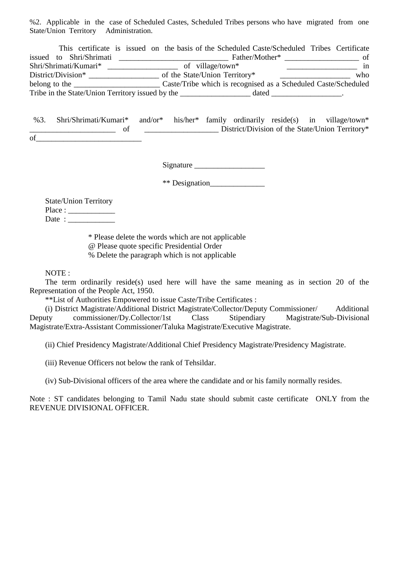%2. Applicable in the case of Scheduled Castes, Scheduled Tribes persons who have migrated from one State/Union Territory Administration.

|                                        | This certificate is issued on the basis of the Scheduled Caste/Scheduled Tribes Certificate |                                                                |     |
|----------------------------------------|---------------------------------------------------------------------------------------------|----------------------------------------------------------------|-----|
| issued to Shri/Shrimati                |                                                                                             | Father/Mother*                                                 | of  |
| Shri/Shrimati/Kumari*                  | of village/town*                                                                            |                                                                | in  |
| District/Division*                     | of the State/Union Territory*                                                               |                                                                | who |
| belong to the $\overline{\phantom{a}}$ |                                                                                             | Caste/Tribe which is recognised as a Scheduled Caste/Scheduled |     |
|                                        | Tribe in the State/Union Territory issued by the                                            | dated                                                          |     |

 %3. Shri/Shrimati/Kumari\* and/or\* his/her\* family ordinarily reside(s) in village/town\* of District/Division of the State/Union Territory\*  $of$ <sub>—</sub>

Signature \_\_\_\_\_\_\_\_\_\_\_\_\_\_\_\_\_\_

\*\* Designation\_\_\_\_\_\_\_\_\_\_\_\_\_\_

|         | <b>State/Union Territory</b> |
|---------|------------------------------|
| Place : |                              |
| Date:   |                              |

 \* Please delete the words which are not applicable @ Please quote specific Presidential Order % Delete the paragraph which is not applicable

NOTE :

 The term ordinarily reside(s) used here will have the same meaning as in section 20 of the Representation of the People Act, 1950.

\*\*List of Authorities Empowered to issue Caste/Tribe Certificates :

 (i) District Magistrate/Additional District Magistrate/Collector/Deputy Commissioner/ Additional Deputy commissioner/Dy.Collector/1st Class Stipendiary Magistrate/Sub-Divisional Magistrate/Extra-Assistant Commissioner/Taluka Magistrate/Executive Magistrate.

(ii) Chief Presidency Magistrate/Additional Chief Presidency Magistrate/Presidency Magistrate.

(iii) Revenue Officers not below the rank of Tehsildar.

(iv) Sub-Divisional officers of the area where the candidate and or his family normally resides.

Note : ST candidates belonging to Tamil Nadu state should submit caste certificate ONLY from the REVENUE DIVISIONAL OFFICER.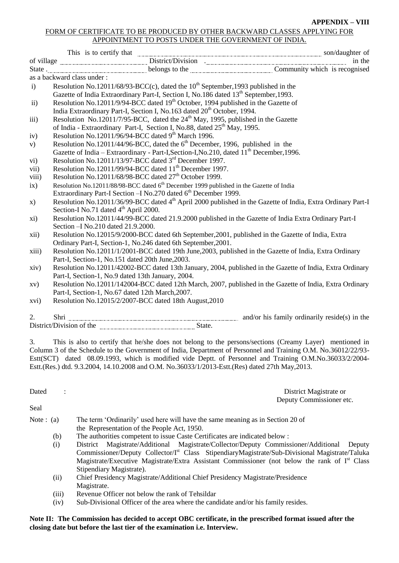#### **APPENDIX – VIII**

#### FORM OF CERTIFICATE TO BE PRODUCED BY OTHER BACKWARD CLASSES APPLYING FOR APPOINTMENT TO POSTS UNDER THE GOVERNMENT OF INDIA.

|               | This is to certify that <u>Contract Division</u> District/Division and Son/daughter of tyllage and District/Division in the State of the State of the State of the Community which is recognised |  |
|---------------|--------------------------------------------------------------------------------------------------------------------------------------------------------------------------------------------------|--|
|               |                                                                                                                                                                                                  |  |
|               | as a backward class under:                                                                                                                                                                       |  |
| $\mathbf{i}$  | Resolution No.12011/68/93-BCC(c), dated the $10^{th}$ September, 1993 published in the                                                                                                           |  |
|               | Gazette of India Extraordinary Part-I, Section I, No.186 dated 13 <sup>th</sup> September, 1993.                                                                                                 |  |
| ii)           | Resolution No.12011/9/94-BCC dated 19 <sup>th</sup> October, 1994 published in the Gazette of                                                                                                    |  |
|               | India Extraordinary Part-I, Section I, No.163 dated 20 <sup>th</sup> October, 1994.                                                                                                              |  |
| iii)          | Resolution No.12011/7/95-BCC, dated the 24 <sup>th</sup> May, 1995, published in the Gazette                                                                                                     |  |
|               | of India - Extraordinary Part-I, Section I, No.88, dated 25 <sup>th</sup> May, 1995.                                                                                                             |  |
| iv)           | Resolution No.12011/96/94-BCC dated 9 <sup>th</sup> March 1996.                                                                                                                                  |  |
| V)            | Resolution No.12011/44/96-BCC, dated the $6th$ December, 1996, published in the                                                                                                                  |  |
|               | Gazette of India – Extraordinary - Part-I, Section-I, No. 210, dated 11 <sup>th</sup> December, 1996.                                                                                            |  |
| $\rm vi)$     | Resolution No.12011/13/97-BCC dated 3rd December 1997.                                                                                                                                           |  |
| vii)          | Resolution No.12011/99/94-BCC dated 11 <sup>th</sup> December 1997.                                                                                                                              |  |
| viii)         | Resolution No.12011/68/98-BCC dated 27 <sup>th</sup> October 1999.                                                                                                                               |  |
| ix)           | Resolution No.12011/88/98-BCC dated 6 <sup>th</sup> December 1999 published in the Gazette of India                                                                                              |  |
|               | Extraordinary Part-I Section - INo.270 dated 6 <sup>th</sup> December 1999.                                                                                                                      |  |
| $\mathbf{x})$ | Resolution No.12011/36/99-BCC dated 4 <sup>th</sup> April 2000 published in the Gazette of India, Extra Ordinary Part-I                                                                          |  |
|               | Section-I No.71 dated 4 <sup>th</sup> April 2000.                                                                                                                                                |  |
| xi)           | Resolution No.12011/44/99-BCC dated 21.9.2000 published in the Gazette of India Extra Ordinary Part-I                                                                                            |  |
|               | Section - INo.210 dated 21.9.2000.                                                                                                                                                               |  |
| xii)          | Resolution No.12015/9/2000-BCC dated 6th September, 2001, published in the Gazette of India, Extra                                                                                               |  |
|               | Ordinary Part-I, Section-1, No.246 dated 6th September, 2001.<br>Resolution No.12011/1/2001-BCC dated 19th June, 2003, published in the Gazette of India, Extra Ordinary                         |  |
| xiii)         |                                                                                                                                                                                                  |  |
|               | Part-I, Section-1, No.151 dated 20th June, 2003.<br>Resolution No.12011/42002-BCC dated 13th January, 2004, published in the Gazette of India, Extra Ordinary                                    |  |
| xiv)          | Part-I, Section-1, No.9 dated 13th January, 2004.                                                                                                                                                |  |
| xv)           | Resolution No.12011/142004-BCC dated 12th March, 2007, published in the Gazette of India, Extra Ordinary                                                                                         |  |
|               | Part-I, Section-1, No.67 dated 12th March, 2007.                                                                                                                                                 |  |
| xvi)          | Resolution No.12015/2/2007-BCC dated 18th August, 2010                                                                                                                                           |  |
|               |                                                                                                                                                                                                  |  |
| 2.            |                                                                                                                                                                                                  |  |
|               |                                                                                                                                                                                                  |  |
|               |                                                                                                                                                                                                  |  |
| 3.            | This is also to certify that he/she does not belong to the persons/sections (Creamy Layer) mentioned in                                                                                          |  |
|               | Column 3 of the Schedule to the Government of India, Department of Personnel and Training O.M. No.36012/22/93-                                                                                   |  |
|               | Estt(SCT) dated 08.09.1993, which is modified vide Deptt. of Personnel and Training O.M.No.36033/2/2004-                                                                                         |  |

Estt.(Res.) dtd. 9.3.2004, 14.10.2008 and O.M. No.36033/1/2013-Estt.(Res) dated 27th May,2013.

Dated : District Magistrate or Deputy Commissioner etc.

#### Seal

- Note : (a) The term 'Ordinarily' used here will have the same meaning as in Section 20 of the Representation of the People Act, 1950.
	- (b) The authorities competent to issue Caste Certificates are indicated below :
	- (i) District Magistrate/Additional Magistrate/Collector/Deputy Commissioner/Additional Deputy Commissioner/Deputy Collector/I<sup>st</sup> Class StipendiaryMagistrate/Sub-Divisional Magistrate/Taluka Magistrate/Executive Magistrate/Extra Assistant Commissioner (not below the rank of  $I<sup>st</sup>$  Class Stipendiary Magistrate).
	- (ii) Chief Presidency Magistrate/Additional Chief Presidency Magistrate/Presidence Magistrate.
	- (iii) Revenue Officer not below the rank of Tehsildar
	- (iv) Sub-Divisional Officer of the area where the candidate and/or his family resides.

#### **Note II: The Commission has decided to accept OBC certificate, in the prescribed format issued after the closing date but before the last tier of the examination i.e. Interview.**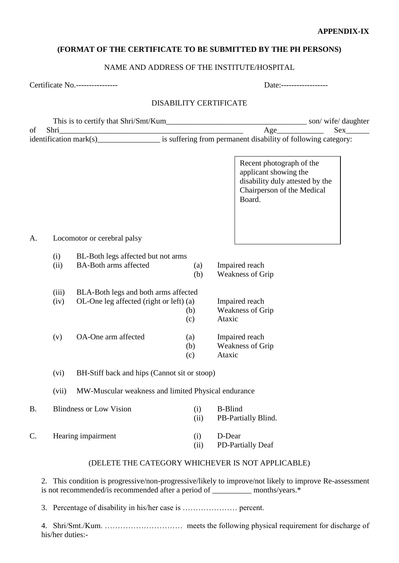# **APPENDIX-IX**

# **(FORMAT OF THE CERTIFICATE TO BE SUBMITTED BY THE PH PERSONS)**

# NAME AND ADDRESS OF THE INSTITUTE/HOSPITAL

| Certificate No.---------------- |                  |                                                                                                                                                                                      | Date:------------------- |                   |                |                                                                                                                              |                            |
|---------------------------------|------------------|--------------------------------------------------------------------------------------------------------------------------------------------------------------------------------------|--------------------------|-------------------|----------------|------------------------------------------------------------------------------------------------------------------------------|----------------------------|
|                                 |                  |                                                                                                                                                                                      | DISABILITY CERTIFICATE   |                   |                |                                                                                                                              |                            |
|                                 |                  |                                                                                                                                                                                      |                          |                   |                | Age                                                                                                                          | $Sex$ <sub>_________</sub> |
|                                 |                  |                                                                                                                                                                                      |                          |                   |                |                                                                                                                              |                            |
|                                 |                  |                                                                                                                                                                                      |                          |                   |                | Recent photograph of the<br>applicant showing the<br>disability duly attested by the<br>Chairperson of the Medical<br>Board. |                            |
| А.                              |                  | Locomotor or cerebral palsy                                                                                                                                                          |                          |                   |                |                                                                                                                              |                            |
|                                 | (i)              | BL-Both legs affected but not arms                                                                                                                                                   |                          |                   |                |                                                                                                                              |                            |
|                                 | (ii)             | <b>BA-Both arms affected</b>                                                                                                                                                         |                          | (a)<br>(b)        |                | Impaired reach<br><b>Weakness of Grip</b>                                                                                    |                            |
|                                 | (iii)<br>(iv)    | BLA-Both legs and both arms affected<br>OL-One leg affected (right or left) (a)                                                                                                      |                          | (b)<br>(c)        | Ataxic         | Impaired reach<br><b>Weakness of Grip</b>                                                                                    |                            |
|                                 | (v)              | OA-One arm affected                                                                                                                                                                  |                          | (a)<br>(b)<br>(c) | Ataxic         | Impaired reach<br><b>Weakness of Grip</b>                                                                                    |                            |
|                                 | (vi)             | BH-Stiff back and hips (Cannot sit or stoop)                                                                                                                                         |                          |                   |                |                                                                                                                              |                            |
|                                 | (vii)            | MW-Muscular weakness and limited Physical endurance                                                                                                                                  |                          |                   |                |                                                                                                                              |                            |
| <b>B.</b>                       |                  | <b>Blindness or Low Vision</b>                                                                                                                                                       |                          | (i)<br>(ii)       | <b>B-Blind</b> | PB-Partially Blind.                                                                                                          |                            |
| $\mathcal{C}$ .                 |                  | Hearing impairment                                                                                                                                                                   |                          | (i)<br>(ii)       | D-Dear         | PD-Partially Deaf                                                                                                            |                            |
|                                 |                  |                                                                                                                                                                                      |                          |                   |                | (DELETE THE CATEGORY WHICHEVER IS NOT APPLICABLE)                                                                            |                            |
| 2.                              |                  | This condition is progressive/non-progressive/likely to improve/not likely to improve Re-assessment<br>is not recommended/is recommended after a period of __________ months/years.* |                          |                   |                |                                                                                                                              |                            |
|                                 |                  |                                                                                                                                                                                      |                          |                   |                |                                                                                                                              |                            |
| 4.                              | his/her duties:- |                                                                                                                                                                                      |                          |                   |                |                                                                                                                              |                            |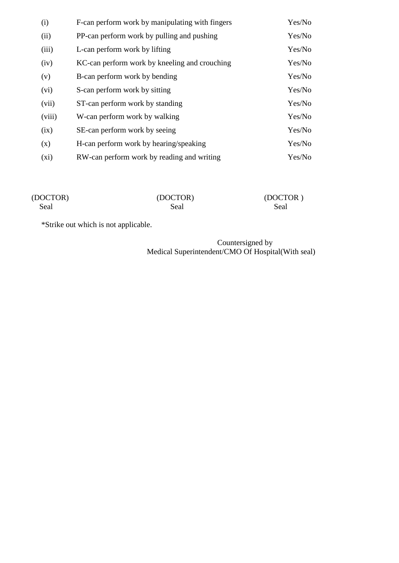| (i)     | F-can perform work by manipulating with fingers | Yes/No |
|---------|-------------------------------------------------|--------|
| (ii)    | PP-can perform work by pulling and pushing      | Yes/No |
| (iii)   | L-can perform work by lifting                   | Yes/No |
| (iv)    | KC-can perform work by kneeling and crouching   | Yes/No |
| (v)     | B-can perform work by bending                   | Yes/No |
| (vi)    | S-can perform work by sitting                   | Yes/No |
| (vii)   | ST-can perform work by standing                 | Yes/No |
| (viii)  | W-can perform work by walking                   | Yes/No |
| (ix)    | SE-can perform work by seeing                   | Yes/No |
| (x)     | H-can perform work by hearing/speaking          | Yes/No |
| $(x_i)$ | RW-can perform work by reading and writing      | Yes/No |

| (DOCTOR) | (DOCTOR) | (DOCTOR) |
|----------|----------|----------|
| Seal     | Seal     | Seal     |

\*Strike out which is not applicable.

Countersigned by Medical Superintendent/CMO Of Hospital(With seal)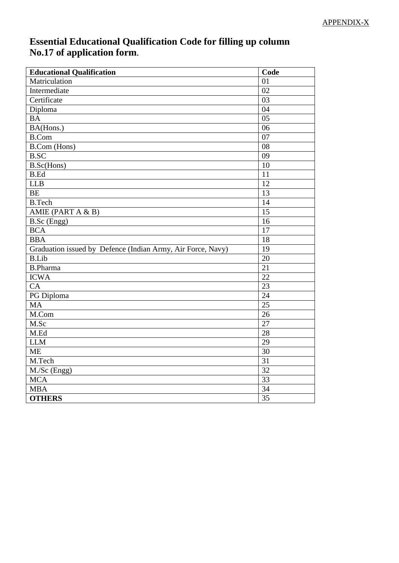# **Essential Educational Qualification Code for filling up column No.17 of application form**.

| <b>Educational Qualification</b>                            | Code            |
|-------------------------------------------------------------|-----------------|
| Matriculation                                               | 01              |
| Intermediate                                                | 02              |
| Certificate                                                 | 03              |
| Diploma                                                     | 04              |
| <b>BA</b>                                                   | 05              |
| BA(Hons.)                                                   | 06              |
| <b>B.Com</b>                                                | 07              |
| <b>B.Com</b> (Hons)                                         | 08              |
| <b>B.SC</b>                                                 | 09              |
| B.Sc(Hons)                                                  | 10              |
| <b>B.Ed</b>                                                 | 11              |
| <b>LLB</b>                                                  | 12              |
| <b>BE</b>                                                   | 13              |
| <b>B.Tech</b>                                               | 14              |
| AMIE (PART A $& B$ )                                        | 15              |
| B.Sc (Engg)                                                 | 16              |
| <b>BCA</b>                                                  | 17              |
| <b>BBA</b>                                                  | 18              |
| Graduation issued by Defence (Indian Army, Air Force, Navy) | 19              |
| <b>B.Lib</b>                                                | 20              |
| <b>B.Pharma</b>                                             | 21              |
| <b>ICWA</b>                                                 | $\overline{22}$ |
| CA                                                          | 23              |
| PG Diploma                                                  | 24              |
| <b>MA</b>                                                   | 25              |
| M.Com                                                       | 26              |
| M.Sc                                                        | 27              |
| M.Ed                                                        | 28              |
| <b>LLM</b>                                                  | 29              |
| <b>ME</b>                                                   | 30              |
| M.Tech                                                      | 31              |
| $\overline{M}$ ./Sc (Engg)                                  | 32              |
| <b>MCA</b>                                                  | 33              |
| <b>MBA</b>                                                  | 34              |
| <b>OTHERS</b>                                               | $\overline{35}$ |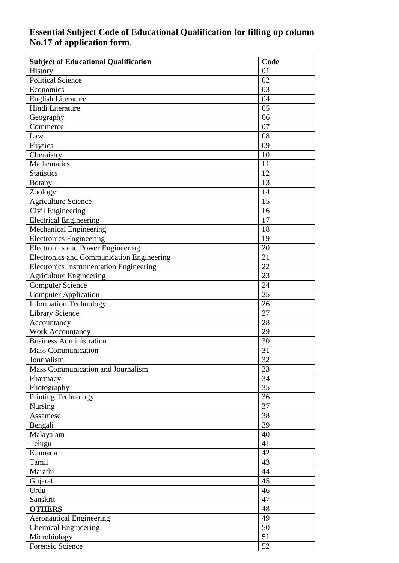# **Essential Subject Code of Educational Qualification for filling up column No.17 of application form**.

| <b>Subject of Educational Qualification</b>      | Code     |
|--------------------------------------------------|----------|
| History                                          | 01       |
| <b>Political Science</b>                         | 02       |
| Economics                                        | 03       |
| <b>English Literature</b>                        | 04       |
| Hindi Literature                                 | 05       |
| Geography                                        | 06       |
| Commerce                                         | 07       |
| Law                                              | 08       |
| Physics                                          | 09       |
| Chemistry                                        | 10       |
| Mathematics                                      | 11       |
| <b>Statistics</b>                                | 12       |
| <b>Botany</b>                                    | 13       |
| Zoology                                          | 14       |
| <b>Agriculture Science</b>                       | 15       |
| Civil Engineering                                | 16       |
| <b>Electrical Engineering</b>                    | 17       |
| <b>Mechanical Engineering</b>                    | 18       |
| <b>Electronics Engineering</b>                   | 19       |
| <b>Electronics and Power Engineering</b>         | 20       |
| <b>Electronics and Communication Engineering</b> | 21       |
| <b>Electronics Instrumentation Engineering</b>   | 22       |
| <b>Agriculture Engineering</b>                   | 23       |
| <b>Computer Science</b>                          | 24       |
| <b>Computer Application</b>                      | 25       |
| <b>Information Technology</b>                    | 26       |
| <b>Library Science</b>                           | 27       |
| Accountancy                                      | 28       |
| <b>Work Accountancy</b>                          | 29       |
| <b>Business Administration</b>                   | 30       |
| <b>Mass Communication</b>                        | 31       |
| Journalism                                       | 32       |
| Mass Communication and Journalism                | 33       |
| Pharmacy                                         | 34       |
| Photography                                      | 35       |
| <b>Printing Technology</b>                       | 36       |
| Nursing                                          | 37       |
| Assamese                                         | 38       |
| Bengali                                          | 39       |
| Malayalam                                        | 40       |
| Telugu                                           | 41       |
| Kannada                                          | 42       |
| Tamil                                            | 43       |
| Marathi                                          | 44       |
|                                                  | 45       |
| Gujarati                                         |          |
| Urdu                                             | 46<br>47 |
| Sanskrit                                         |          |
| <b>OTHERS</b>                                    | 48       |
| <b>Aeronautical Engineering</b>                  | 49       |
| <b>Chemical Engineering</b>                      | 50       |
| Microbiology                                     | 51       |
| Forensic Science                                 | 52       |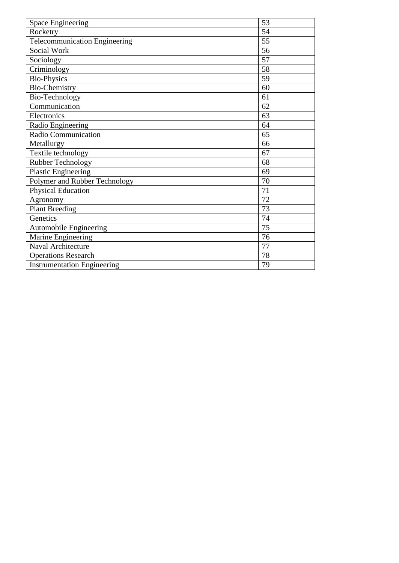| <b>Space Engineering</b>             | 53 |
|--------------------------------------|----|
| Rocketry                             | 54 |
| <b>Telecommunication Engineering</b> | 55 |
| <b>Social Work</b>                   | 56 |
| Sociology                            | 57 |
| Criminology                          | 58 |
| <b>Bio-Physics</b>                   | 59 |
| <b>Bio-Chemistry</b>                 | 60 |
| Bio-Technology                       | 61 |
| Communication                        | 62 |
| Electronics                          | 63 |
| Radio Engineering                    | 64 |
| Radio Communication                  | 65 |
| Metallurgy                           | 66 |
| Textile technology                   | 67 |
| <b>Rubber Technology</b>             | 68 |
| <b>Plastic Engineering</b>           | 69 |
| Polymer and Rubber Technology        | 70 |
| <b>Physical Education</b>            | 71 |
| Agronomy                             | 72 |
| <b>Plant Breeding</b>                | 73 |
| Genetics                             | 74 |
| <b>Automobile Engineering</b>        | 75 |
| Marine Engineering                   | 76 |
| Naval Architecture                   | 77 |
| <b>Operations Research</b>           | 78 |
| <b>Instrumentation Engineering</b>   | 79 |
|                                      |    |